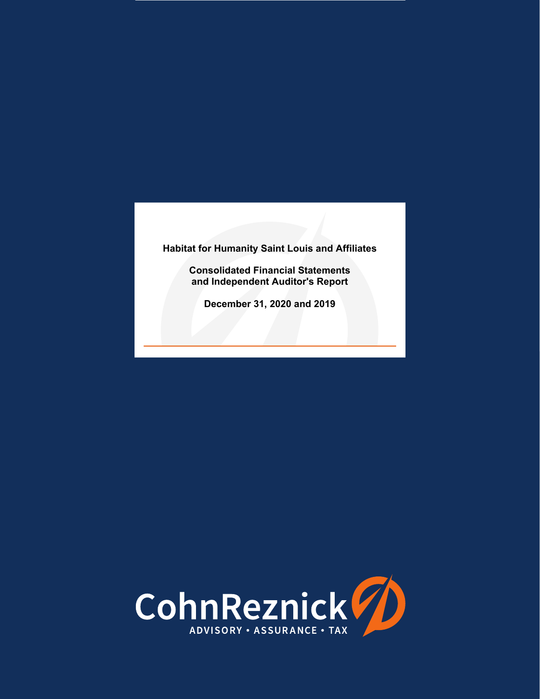**Consolidated Financial Statements and Independent Auditor's Report** 

**December 31, 2020 and 2019** 

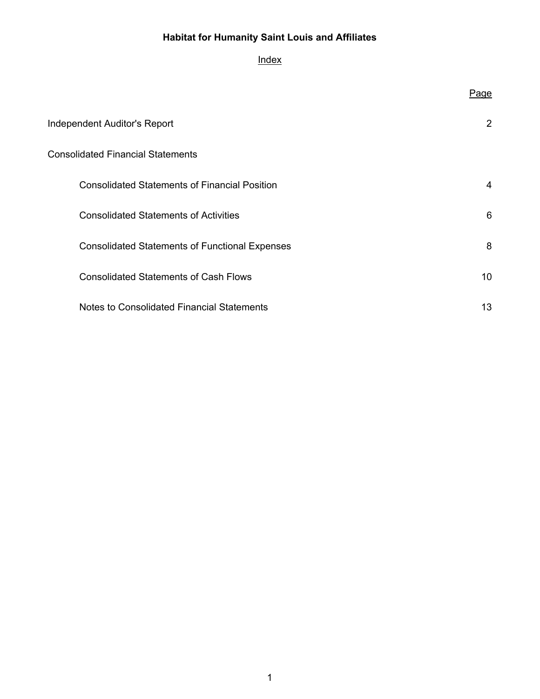## **Index**

|                                                       | <u>Page</u>     |
|-------------------------------------------------------|-----------------|
| <b>Independent Auditor's Report</b>                   | $\overline{2}$  |
| <b>Consolidated Financial Statements</b>              |                 |
| <b>Consolidated Statements of Financial Position</b>  | 4               |
| <b>Consolidated Statements of Activities</b>          | 6               |
| <b>Consolidated Statements of Functional Expenses</b> | 8               |
| <b>Consolidated Statements of Cash Flows</b>          | 10 <sup>°</sup> |
| Notes to Consolidated Financial Statements            | 13              |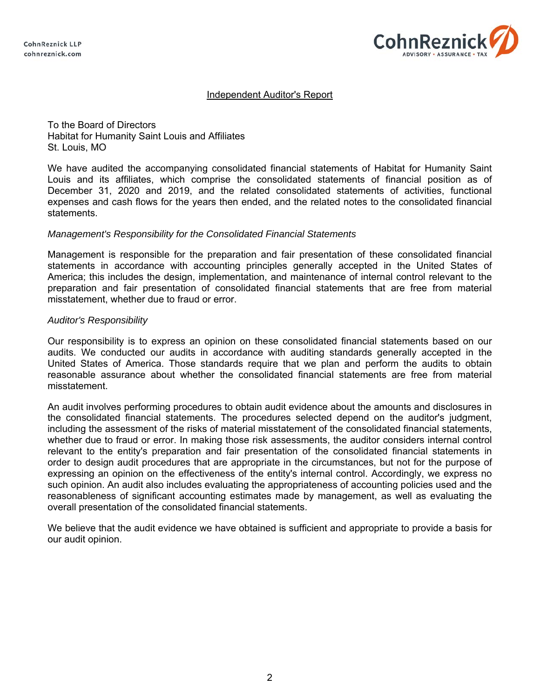**CohnReznick LLP** cohnreznick.com



## Independent Auditor's Report

To the Board of Directors Habitat for Humanity Saint Louis and Affiliates St. Louis, MO

We have audited the accompanying consolidated financial statements of Habitat for Humanity Saint Louis and its affiliates, which comprise the consolidated statements of financial position as of December 31, 2020 and 2019, and the related consolidated statements of activities, functional expenses and cash flows for the years then ended, and the related notes to the consolidated financial statements.

#### *Management's Responsibility for the Consolidated Financial Statements*

Management is responsible for the preparation and fair presentation of these consolidated financial statements in accordance with accounting principles generally accepted in the United States of America; this includes the design, implementation, and maintenance of internal control relevant to the preparation and fair presentation of consolidated financial statements that are free from material misstatement, whether due to fraud or error.

#### *Auditor's Responsibility*

Our responsibility is to express an opinion on these consolidated financial statements based on our audits. We conducted our audits in accordance with auditing standards generally accepted in the United States of America. Those standards require that we plan and perform the audits to obtain reasonable assurance about whether the consolidated financial statements are free from material misstatement.

An audit involves performing procedures to obtain audit evidence about the amounts and disclosures in the consolidated financial statements. The procedures selected depend on the auditor's judgment, including the assessment of the risks of material misstatement of the consolidated financial statements, whether due to fraud or error. In making those risk assessments, the auditor considers internal control relevant to the entity's preparation and fair presentation of the consolidated financial statements in order to design audit procedures that are appropriate in the circumstances, but not for the purpose of expressing an opinion on the effectiveness of the entity's internal control. Accordingly, we express no such opinion. An audit also includes evaluating the appropriateness of accounting policies used and the reasonableness of significant accounting estimates made by management, as well as evaluating the overall presentation of the consolidated financial statements.

We believe that the audit evidence we have obtained is sufficient and appropriate to provide a basis for our audit opinion.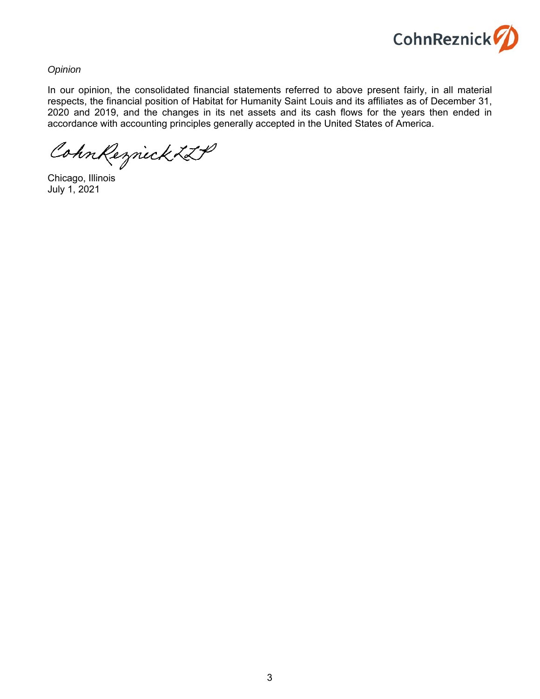

*Opinion* 

In our opinion, the consolidated financial statements referred to above present fairly, in all material respects, the financial position of Habitat for Humanity Saint Louis and its affiliates as of December 31, 2020 and 2019, and the changes in its net assets and its cash flows for the years then ended in accordance with accounting principles generally accepted in the United States of America.

CohnReznick ZLP

Chicago, Illinois July 1, 2021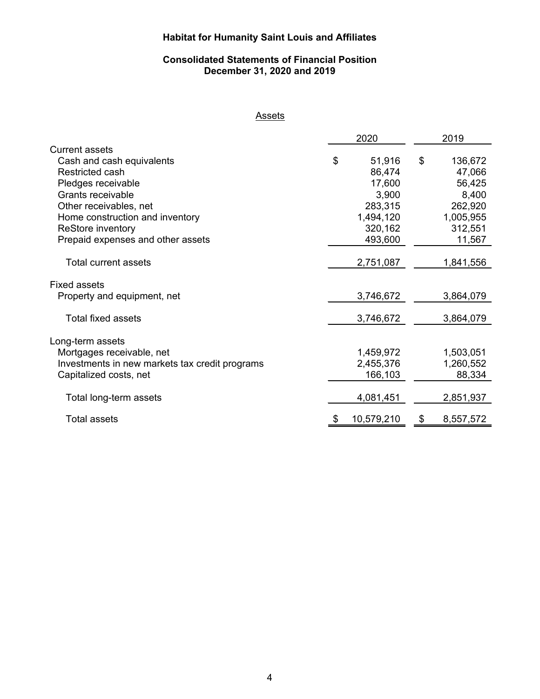## **Consolidated Statements of Financial Position December 31, 2020 and 2019**

## **Assets**

|                                                | 2020 |            |    | 2019      |
|------------------------------------------------|------|------------|----|-----------|
| <b>Current assets</b>                          |      |            |    |           |
| Cash and cash equivalents                      | \$   | 51,916     | \$ | 136,672   |
| Restricted cash                                |      | 86,474     |    | 47,066    |
| Pledges receivable                             |      | 17,600     |    | 56,425    |
| Grants receivable                              |      | 3,900      |    | 8,400     |
| Other receivables, net                         |      | 283,315    |    | 262,920   |
| Home construction and inventory                |      | 1,494,120  |    | 1,005,955 |
| ReStore inventory                              |      | 320,162    |    | 312,551   |
| Prepaid expenses and other assets              |      | 493,600    |    | 11,567    |
|                                                |      |            |    |           |
| <b>Total current assets</b>                    |      | 2,751,087  |    | 1,841,556 |
|                                                |      |            |    |           |
| <b>Fixed assets</b>                            |      |            |    |           |
| Property and equipment, net                    |      | 3,746,672  |    | 3,864,079 |
| Total fixed assets                             |      | 3,746,672  |    | 3,864,079 |
|                                                |      |            |    |           |
| Long-term assets                               |      |            |    |           |
| Mortgages receivable, net                      |      | 1,459,972  |    | 1,503,051 |
| Investments in new markets tax credit programs |      | 2,455,376  |    | 1,260,552 |
| Capitalized costs, net                         |      | 166,103    |    | 88,334    |
|                                                |      |            |    |           |
| Total long-term assets                         |      | 4,081,451  |    | 2,851,937 |
| <b>Total assets</b>                            | \$   | 10,579,210 | S  | 8,557,572 |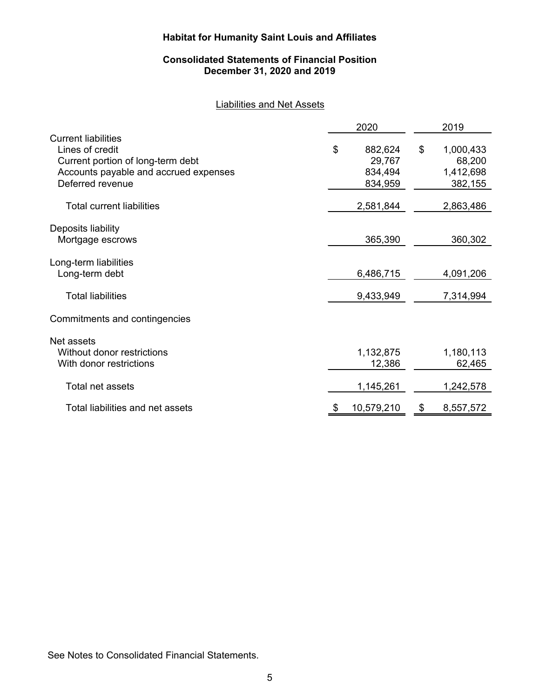## **Consolidated Statements of Financial Position December 31, 2020 and 2019**

## Liabilities and Net Assets

|                                                                                                                                                 | 2020                                          |    | 2019                                        |
|-------------------------------------------------------------------------------------------------------------------------------------------------|-----------------------------------------------|----|---------------------------------------------|
| <b>Current liabilities</b><br>Lines of credit<br>Current portion of long-term debt<br>Accounts payable and accrued expenses<br>Deferred revenue | \$<br>882,624<br>29,767<br>834,494<br>834,959 | \$ | 1,000,433<br>68,200<br>1,412,698<br>382,155 |
| <b>Total current liabilities</b>                                                                                                                | 2,581,844                                     |    | 2,863,486                                   |
| Deposits liability<br>Mortgage escrows                                                                                                          | 365,390                                       |    | 360,302                                     |
| Long-term liabilities<br>Long-term debt                                                                                                         | 6,486,715                                     |    | 4,091,206                                   |
| <b>Total liabilities</b>                                                                                                                        | 9,433,949                                     |    | 7,314,994                                   |
| Commitments and contingencies                                                                                                                   |                                               |    |                                             |
| Net assets<br>Without donor restrictions<br>With donor restrictions                                                                             | 1,132,875<br>12,386                           |    | 1,180,113<br>62,465                         |
| Total net assets                                                                                                                                | 1,145,261                                     |    | 1,242,578                                   |
| Total liabilities and net assets                                                                                                                | 10,579,210                                    | S  | 8,557,572                                   |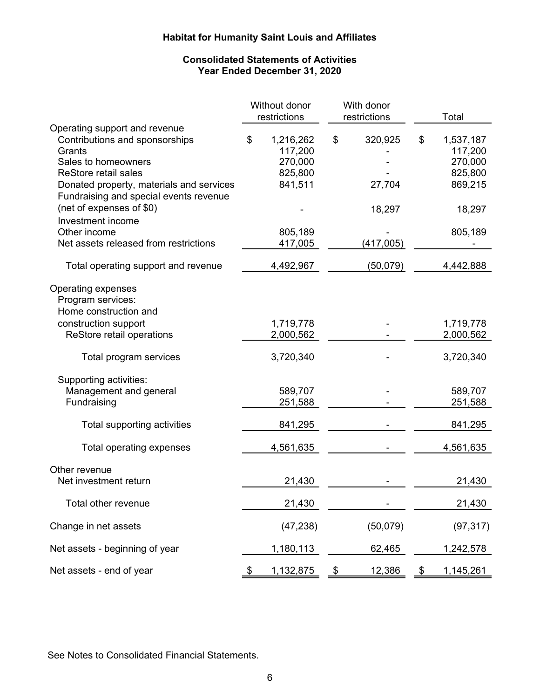## **Consolidated Statements of Activities Year Ended December 31, 2020**

|                                                                                                                                                                                                                       | Without donor<br>restrictions                               |               | With donor<br>restrictions | Total                                                       |
|-----------------------------------------------------------------------------------------------------------------------------------------------------------------------------------------------------------------------|-------------------------------------------------------------|---------------|----------------------------|-------------------------------------------------------------|
| Operating support and revenue<br>Contributions and sponsorships<br>Grants<br>Sales to homeowners<br><b>ReStore retail sales</b><br>Donated property, materials and services<br>Fundraising and special events revenue | \$<br>1,216,262<br>117,200<br>270,000<br>825,800<br>841,511 | \$            | 320,925<br>27,704          | \$<br>1,537,187<br>117,200<br>270,000<br>825,800<br>869,215 |
| (net of expenses of \$0)<br>Investment income                                                                                                                                                                         |                                                             |               | 18,297                     | 18,297                                                      |
| Other income<br>Net assets released from restrictions                                                                                                                                                                 | 805,189<br>417,005                                          |               | (417,005)                  | 805,189                                                     |
| Total operating support and revenue                                                                                                                                                                                   | 4,492,967                                                   |               | (50,079)                   | 4,442,888                                                   |
| Operating expenses<br>Program services:<br>Home construction and                                                                                                                                                      |                                                             |               |                            |                                                             |
| construction support<br>ReStore retail operations                                                                                                                                                                     | 1,719,778<br>2,000,562                                      |               |                            | 1,719,778<br>2,000,562                                      |
| Total program services                                                                                                                                                                                                | 3,720,340                                                   |               |                            | 3,720,340                                                   |
| Supporting activities:<br>Management and general<br>Fundraising                                                                                                                                                       | 589,707<br>251,588                                          |               |                            | 589,707<br>251,588                                          |
| Total supporting activities                                                                                                                                                                                           | 841,295                                                     |               |                            | 841,295                                                     |
| Total operating expenses                                                                                                                                                                                              | 4,561,635                                                   |               |                            | 4,561,635                                                   |
| Other revenue<br>Net investment return                                                                                                                                                                                | 21,430                                                      |               |                            | 21,430                                                      |
| Total other revenue                                                                                                                                                                                                   | 21,430                                                      |               |                            | 21,430                                                      |
| Change in net assets                                                                                                                                                                                                  | (47, 238)                                                   |               | (50,079)                   | (97, 317)                                                   |
| Net assets - beginning of year                                                                                                                                                                                        | 1,180,113                                                   |               | 62,465                     | 1,242,578                                                   |
| Net assets - end of year                                                                                                                                                                                              | \$<br>1,132,875                                             | $\frac{1}{2}$ | 12,386                     | \$<br>1,145,261                                             |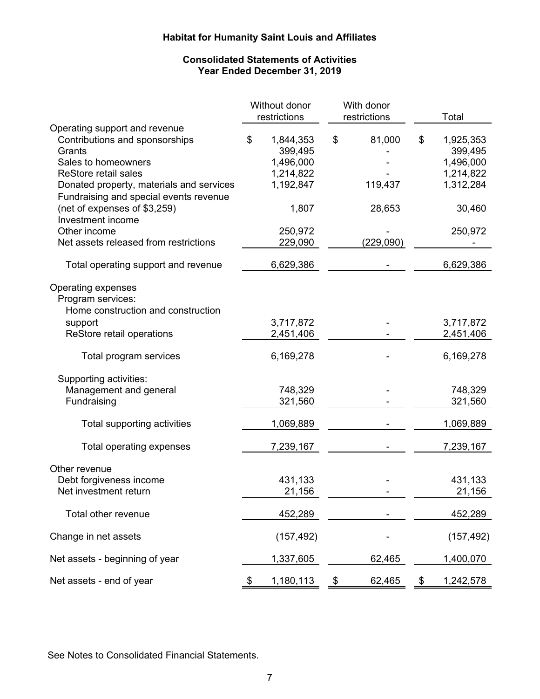## **Consolidated Statements of Activities Year Ended December 31, 2019**

|                                                                                                                                                                                                                                                       | Without donor<br>restrictions                                              | With donor<br>restrictions        | Total                                                                       |
|-------------------------------------------------------------------------------------------------------------------------------------------------------------------------------------------------------------------------------------------------------|----------------------------------------------------------------------------|-----------------------------------|-----------------------------------------------------------------------------|
| Operating support and revenue<br>Contributions and sponsorships<br>Grants<br>Sales to homeowners<br><b>ReStore retail sales</b><br>Donated property, materials and services<br>Fundraising and special events revenue<br>(net of expenses of \$3,259) | \$<br>1,844,353<br>399,495<br>1,496,000<br>1,214,822<br>1,192,847<br>1,807 | \$<br>81,000<br>119,437<br>28,653 | \$<br>1,925,353<br>399,495<br>1,496,000<br>1,214,822<br>1,312,284<br>30,460 |
| Investment income                                                                                                                                                                                                                                     |                                                                            |                                   |                                                                             |
| Other income<br>Net assets released from restrictions                                                                                                                                                                                                 | 250,972<br>229,090                                                         | (229,090)                         | 250,972                                                                     |
| Total operating support and revenue                                                                                                                                                                                                                   | 6,629,386                                                                  |                                   | 6,629,386                                                                   |
| Operating expenses<br>Program services:<br>Home construction and construction                                                                                                                                                                         |                                                                            |                                   |                                                                             |
| support                                                                                                                                                                                                                                               | 3,717,872                                                                  |                                   | 3,717,872                                                                   |
| ReStore retail operations                                                                                                                                                                                                                             | 2,451,406                                                                  |                                   | 2,451,406                                                                   |
| Total program services                                                                                                                                                                                                                                | 6,169,278                                                                  |                                   | 6,169,278                                                                   |
| Supporting activities:<br>Management and general<br>Fundraising                                                                                                                                                                                       | 748,329<br>321,560                                                         |                                   | 748,329<br>321,560                                                          |
| Total supporting activities                                                                                                                                                                                                                           | 1,069,889                                                                  |                                   | 1,069,889                                                                   |
| Total operating expenses                                                                                                                                                                                                                              | 7,239,167                                                                  |                                   | 7,239,167                                                                   |
| Other revenue<br>Debt forgiveness income<br>Net investment return                                                                                                                                                                                     | 431,133<br>21,156                                                          |                                   | 431,133<br>21,156                                                           |
| Total other revenue                                                                                                                                                                                                                                   | 452,289                                                                    |                                   | 452,289                                                                     |
| Change in net assets                                                                                                                                                                                                                                  | (157, 492)                                                                 |                                   | (157, 492)                                                                  |
| Net assets - beginning of year                                                                                                                                                                                                                        | 1,337,605                                                                  | 62,465                            | 1,400,070                                                                   |
| Net assets - end of year                                                                                                                                                                                                                              | \$<br>1,180,113                                                            | \$<br>62,465                      | \$<br>1,242,578                                                             |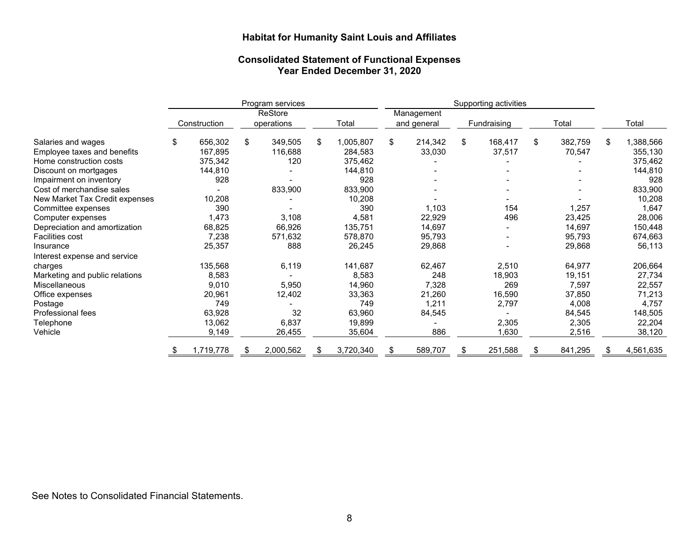#### **Consolidated Statement of Functional Expenses Year Ended December 31, 2020**

|                                |               |    | Program services |                 | Supporting activities |    |             |    |         |    |           |
|--------------------------------|---------------|----|------------------|-----------------|-----------------------|----|-------------|----|---------|----|-----------|
|                                |               |    | ReStore          |                 | Management            |    |             |    |         |    |           |
|                                | Construction  |    | operations       | Total           | and general           |    | Fundraising |    | Total   |    | Total     |
| Salaries and wages             | \$<br>656,302 | \$ | 349,505          | \$<br>1,005,807 | \$<br>214,342         | \$ | 168,417     | \$ | 382,759 | \$ | 1,388,566 |
| Employee taxes and benefits    | 167,895       |    | 116,688          | 284,583         | 33,030                |    | 37,517      |    | 70,547  |    | 355,130   |
| Home construction costs        | 375,342       |    | 120              | 375,462         |                       |    |             |    |         |    | 375,462   |
| Discount on mortgages          | 144,810       |    |                  | 144,810         |                       |    |             |    |         |    | 144,810   |
| Impairment on inventory        | 928           |    |                  | 928             |                       |    |             |    |         |    | 928       |
| Cost of merchandise sales      |               |    | 833,900          | 833,900         |                       |    |             |    |         |    | 833,900   |
| New Market Tax Credit expenses | 10,208        |    |                  | 10,208          |                       |    |             |    |         |    | 10,208    |
| Committee expenses             | 390           |    |                  | 390             | 1,103                 |    | 154         |    | 1,257   |    | 1,647     |
| Computer expenses              | 1,473         |    | 3,108            | 4,581           | 22,929                |    | 496         |    | 23,425  |    | 28,006    |
| Depreciation and amortization  | 68,825        |    | 66,926           | 135,751         | 14,697                |    |             |    | 14,697  |    | 150,448   |
| <b>Facilities cost</b>         | 7,238         |    | 571,632          | 578,870         | 95,793                |    |             |    | 95,793  |    | 674,663   |
| Insurance                      | 25,357        |    | 888              | 26,245          | 29,868                |    |             |    | 29,868  |    | 56,113    |
| Interest expense and service   |               |    |                  |                 |                       |    |             |    |         |    |           |
| charges                        | 135,568       |    | 6,119            | 141,687         | 62,467                |    | 2,510       |    | 64,977  |    | 206,664   |
| Marketing and public relations | 8,583         |    |                  | 8,583           | 248                   |    | 18,903      |    | 19,151  |    | 27,734    |
| <b>Miscellaneous</b>           | 9,010         |    | 5,950            | 14,960          | 7,328                 |    | 269         |    | 7,597   |    | 22,557    |
| Office expenses                | 20,961        |    | 12,402           | 33,363          | 21,260                |    | 16,590      |    | 37,850  |    | 71,213    |
| Postage                        | 749           |    |                  | 749             | 1,211                 |    | 2,797       |    | 4,008   |    | 4,757     |
| Professional fees              | 63,928        |    | 32               | 63,960          | 84,545                |    |             |    | 84,545  |    | 148,505   |
| Telephone                      | 13,062        |    | 6,837            | 19,899          |                       |    | 2,305       |    | 2,305   |    | 22,204    |
| Vehicle                        | 9,149         |    | 26,455           | 35,604          | 886                   |    | 1,630       |    | 2,516   |    | 38,120    |
|                                | 1,719,778     | S  | 2,000,562        | \$<br>3,720,340 | 589,707               |    | 251,588     |    | 841,295 | S  | 4,561,635 |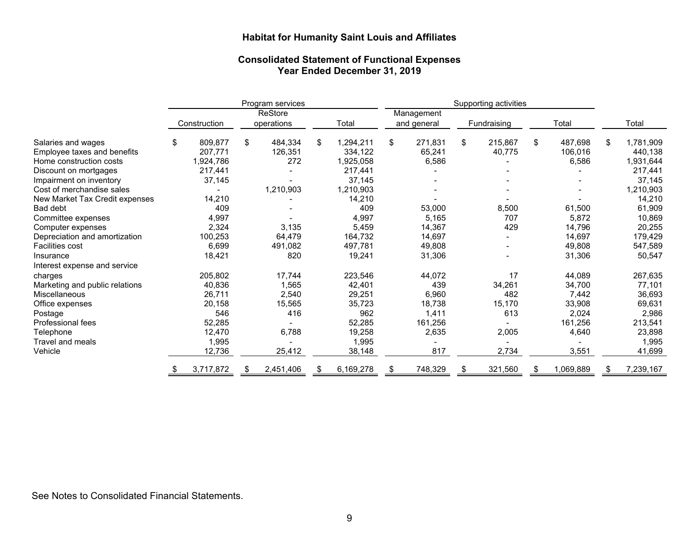#### **Consolidated Statement of Functional Expenses Year Ended December 31, 2019**

|                                |    | Program services |    |                       |       | Supporting activities |    |         |    |         |    |           |    |           |  |  |                           |  |             |  |       |  |  |       |
|--------------------------------|----|------------------|----|-----------------------|-------|-----------------------|----|---------|----|---------|----|-----------|----|-----------|--|--|---------------------------|--|-------------|--|-------|--|--|-------|
|                                |    | Construction     |    | ReStore<br>operations | Total |                       |    |         |    |         |    |           |    |           |  |  | Management<br>and general |  | Fundraising |  | Total |  |  | Total |
| Salaries and wages             | \$ | 809,877          | \$ | 484,334               | \$    | 1,294,211             | \$ | 271,831 | \$ | 215,867 | \$ | 487,698   | \$ | 1,781,909 |  |  |                           |  |             |  |       |  |  |       |
| Employee taxes and benefits    |    | 207,771          |    | 126,351               |       | 334,122               |    | 65,241  |    | 40,775  |    | 106,016   |    | 440,138   |  |  |                           |  |             |  |       |  |  |       |
| Home construction costs        |    | 1,924,786        |    | 272                   |       | 1,925,058             |    | 6,586   |    |         |    | 6,586     |    | 1,931,644 |  |  |                           |  |             |  |       |  |  |       |
| Discount on mortgages          |    | 217,441          |    |                       |       | 217,441               |    |         |    |         |    |           |    | 217,441   |  |  |                           |  |             |  |       |  |  |       |
| Impairment on inventory        |    | 37,145           |    |                       |       | 37,145                |    |         |    |         |    |           |    | 37,145    |  |  |                           |  |             |  |       |  |  |       |
| Cost of merchandise sales      |    |                  |    | 1,210,903             |       | 1,210,903             |    |         |    |         |    |           |    | 1,210,903 |  |  |                           |  |             |  |       |  |  |       |
| New Market Tax Credit expenses |    | 14,210           |    |                       |       | 14,210                |    |         |    |         |    |           |    | 14,210    |  |  |                           |  |             |  |       |  |  |       |
| Bad debt                       |    | 409              |    |                       |       | 409                   |    | 53,000  |    | 8,500   |    | 61,500    |    | 61,909    |  |  |                           |  |             |  |       |  |  |       |
| Committee expenses             |    | 4,997            |    |                       |       | 4,997                 |    | 5,165   |    | 707     |    | 5,872     |    | 10,869    |  |  |                           |  |             |  |       |  |  |       |
| Computer expenses              |    | 2,324            |    | 3,135                 |       | 5,459                 |    | 14,367  |    | 429     |    | 14,796    |    | 20,255    |  |  |                           |  |             |  |       |  |  |       |
| Depreciation and amortization  |    | 100,253          |    | 64,479                |       | 164,732               |    | 14,697  |    |         |    | 14,697    |    | 179,429   |  |  |                           |  |             |  |       |  |  |       |
| <b>Facilities cost</b>         |    | 6,699            |    | 491,082               |       | 497,781               |    | 49,808  |    |         |    | 49,808    |    | 547,589   |  |  |                           |  |             |  |       |  |  |       |
| Insurance                      |    | 18,421           |    | 820                   |       | 19,241                |    | 31,306  |    |         |    | 31,306    |    | 50,547    |  |  |                           |  |             |  |       |  |  |       |
| Interest expense and service   |    |                  |    |                       |       |                       |    |         |    |         |    |           |    |           |  |  |                           |  |             |  |       |  |  |       |
| charges                        |    | 205,802          |    | 17,744                |       | 223,546               |    | 44,072  |    | 17      |    | 44,089    |    | 267,635   |  |  |                           |  |             |  |       |  |  |       |
| Marketing and public relations |    | 40,836           |    | 1,565                 |       | 42,401                |    | 439     |    | 34,261  |    | 34,700    |    | 77,101    |  |  |                           |  |             |  |       |  |  |       |
| <b>Miscellaneous</b>           |    | 26,711           |    | 2,540                 |       | 29,251                |    | 6,960   |    | 482     |    | 7,442     |    | 36,693    |  |  |                           |  |             |  |       |  |  |       |
| Office expenses                |    | 20,158           |    | 15,565                |       | 35,723                |    | 18,738  |    | 15,170  |    | 33,908    |    | 69,631    |  |  |                           |  |             |  |       |  |  |       |
| Postage                        |    | 546              |    | 416                   |       | 962                   |    | 1,411   |    | 613     |    | 2,024     |    | 2,986     |  |  |                           |  |             |  |       |  |  |       |
| Professional fees              |    | 52,285           |    |                       |       | 52,285                |    | 161,256 |    |         |    | 161,256   |    | 213,541   |  |  |                           |  |             |  |       |  |  |       |
| Telephone                      |    | 12,470           |    | 6,788                 |       | 19,258                |    | 2,635   |    | 2,005   |    | 4,640     |    | 23,898    |  |  |                           |  |             |  |       |  |  |       |
| Travel and meals               |    | 1,995            |    |                       |       | 1,995                 |    |         |    |         |    |           |    | 1,995     |  |  |                           |  |             |  |       |  |  |       |
| Vehicle                        |    | 12,736           |    | 25,412                |       | 38,148                |    | 817     |    | 2,734   |    | 3,551     |    | 41,699    |  |  |                           |  |             |  |       |  |  |       |
|                                | R. | 3,717,872        | \$ | 2,451,406             | S.    | 6,169,278             | \$ | 748,329 | \$ | 321,560 | \$ | 1,069,889 | S  | 7,239,167 |  |  |                           |  |             |  |       |  |  |       |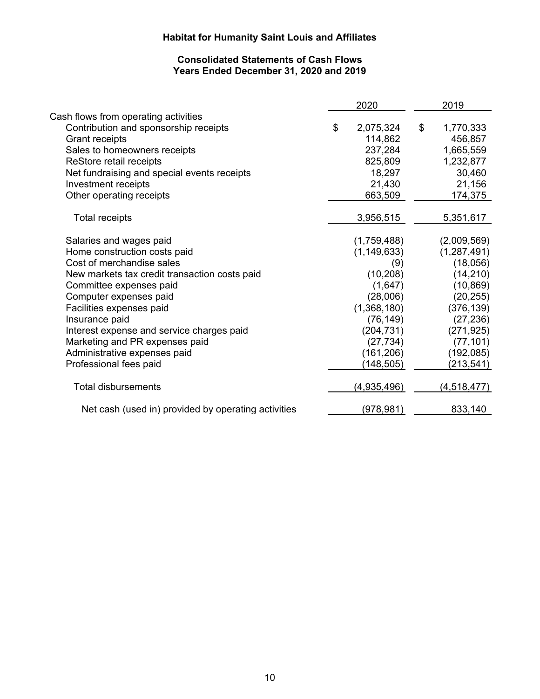## **Consolidated Statements of Cash Flows Years Ended December 31, 2020 and 2019**

|                                                     | 2020            | 2019            |
|-----------------------------------------------------|-----------------|-----------------|
| Cash flows from operating activities                |                 |                 |
| Contribution and sponsorship receipts               | \$<br>2,075,324 | \$<br>1,770,333 |
| <b>Grant receipts</b>                               | 114,862         | 456,857         |
| Sales to homeowners receipts                        | 237,284         | 1,665,559       |
| ReStore retail receipts                             | 825,809         | 1,232,877       |
| Net fundraising and special events receipts         | 18,297          | 30,460          |
| Investment receipts                                 | 21,430          | 21,156          |
| Other operating receipts                            | 663,509         | 174,375         |
| <b>Total receipts</b>                               | 3,956,515       | 5,351,617       |
|                                                     |                 |                 |
| Salaries and wages paid                             | (1,759,488)     | (2,009,569)     |
| Home construction costs paid                        | (1, 149, 633)   | (1, 287, 491)   |
| Cost of merchandise sales                           | (9)             | (18,056)        |
| New markets tax credit transaction costs paid       | (10, 208)       | (14,210)        |
| Committee expenses paid                             | (1,647)         | (10, 869)       |
| Computer expenses paid                              | (28,006)        | (20, 255)       |
| Facilities expenses paid                            | (1,368,180)     | (376, 139)      |
| Insurance paid                                      | (76, 149)       | (27, 236)       |
| Interest expense and service charges paid           | (204, 731)      | (271, 925)      |
| Marketing and PR expenses paid                      | (27, 734)       | (77, 101)       |
| Administrative expenses paid                        | (161, 206)      | (192,085)       |
| Professional fees paid                              | (148, 505)      | (213, 541)      |
| <b>Total disbursements</b>                          | (4,935,496)     | (4,518,477)     |
| Net cash (used in) provided by operating activities | (978, 981)      | 833,140         |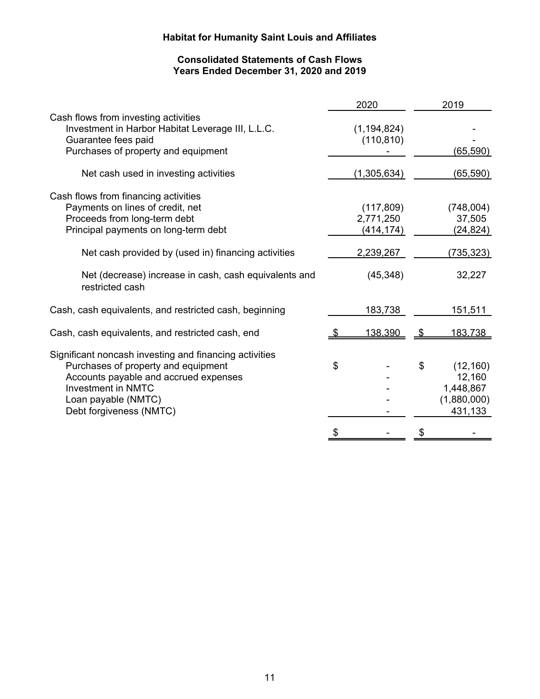## **Consolidated Statements of Cash Flows Years Ended December 31, 2020 and 2019**

|                                                                                                                                                                                                                                                                                     |    | 2020                                                            | 2019                                                             |
|-------------------------------------------------------------------------------------------------------------------------------------------------------------------------------------------------------------------------------------------------------------------------------------|----|-----------------------------------------------------------------|------------------------------------------------------------------|
| Cash flows from investing activities<br>Investment in Harbor Habitat Leverage III, L.L.C.<br>Guarantee fees paid<br>Purchases of property and equipment                                                                                                                             |    | (1, 194, 824)<br>(110, 810)                                     | (65, 590)                                                        |
| Net cash used in investing activities                                                                                                                                                                                                                                               |    | (1,305,634)                                                     | (65, 590)                                                        |
| Cash flows from financing activities<br>Payments on lines of credit, net<br>Proceeds from long-term debt<br>Principal payments on long-term debt<br>Net cash provided by (used in) financing activities<br>Net (decrease) increase in cash, cash equivalents and<br>restricted cash |    | (117, 809)<br>2,771,250<br>(414, 174)<br>2,239,267<br>(45, 348) | (748,004)<br>37,505<br>(24, 824)<br>(735, 323)<br>32,227         |
| Cash, cash equivalents, and restricted cash, beginning                                                                                                                                                                                                                              |    | 183,738                                                         | <u>151,511</u>                                                   |
| Cash, cash equivalents, and restricted cash, end                                                                                                                                                                                                                                    |    | 138,390                                                         | 183,738                                                          |
| Significant noncash investing and financing activities<br>Purchases of property and equipment<br>Accounts payable and accrued expenses<br><b>Investment in NMTC</b><br>Loan payable (NMTC)<br>Debt forgiveness (NMTC)                                                               | \$ |                                                                 | \$<br>(12, 160)<br>12,160<br>1,448,867<br>(1,880,000)<br>431,133 |
|                                                                                                                                                                                                                                                                                     | S  |                                                                 |                                                                  |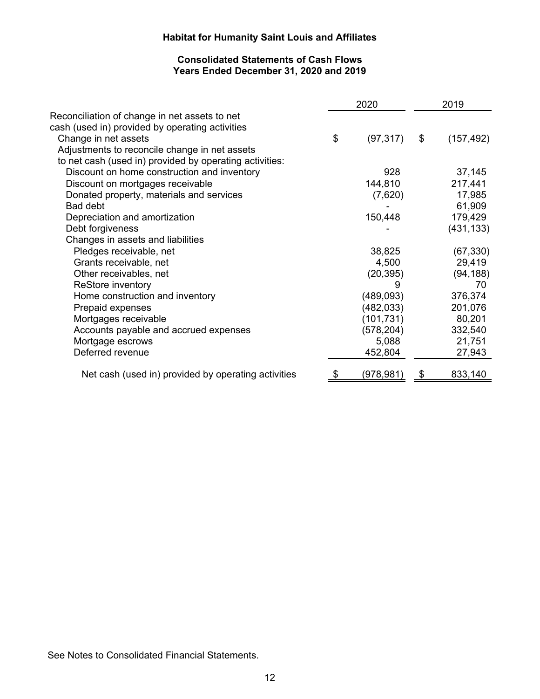## **Consolidated Statements of Cash Flows Years Ended December 31, 2020 and 2019**

| 2020       | 2019                   |            |  |
|------------|------------------------|------------|--|
|            |                        |            |  |
|            |                        |            |  |
|            |                        | (157, 492) |  |
|            |                        |            |  |
|            |                        |            |  |
| 928        |                        | 37,145     |  |
| 144,810    |                        | 217,441    |  |
| (7,620)    |                        | 17,985     |  |
|            |                        | 61,909     |  |
| 150,448    |                        | 179,429    |  |
|            |                        | (431, 133) |  |
|            |                        |            |  |
| 38,825     |                        | (67, 330)  |  |
| 4,500      |                        | 29,419     |  |
| (20, 395)  |                        | (94, 188)  |  |
| 9          |                        | 70         |  |
| (489, 093) |                        | 376,374    |  |
| (482, 033) |                        | 201,076    |  |
| (101, 731) |                        | 80,201     |  |
| (578, 204) |                        | 332,540    |  |
| 5,088      |                        | 21,751     |  |
| 452,804    |                        | 27,943     |  |
|            |                        | 833,140    |  |
| \$<br>\$   | (97, 317)<br>(978,981) | \$<br>\$   |  |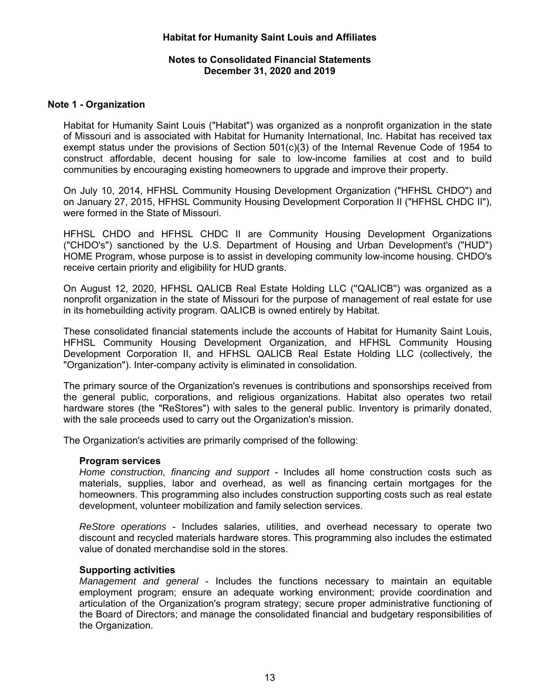### **Notes to Consolidated Financial Statements December 31, 2020 and 2019**

## **Note 1 - Organization**

Habitat for Humanity Saint Louis ("Habitat") was organized as a nonprofit organization in the state of Missouri and is associated with Habitat for Humanity International, Inc. Habitat has received tax exempt status under the provisions of Section 501(c)(3) of the Internal Revenue Code of 1954 to construct affordable, decent housing for sale to low-income families at cost and to build communities by encouraging existing homeowners to upgrade and improve their property.

On July 10, 2014, HFHSL Community Housing Development Organization ("HFHSL CHDO") and on January 27, 2015, HFHSL Community Housing Development Corporation II ("HFHSL CHDC II"), were formed in the State of Missouri.

HFHSL CHDO and HFHSL CHDC II are Community Housing Development Organizations ("CHDO's") sanctioned by the U.S. Department of Housing and Urban Development's ("HUD") HOME Program, whose purpose is to assist in developing community low-income housing. CHDO's receive certain priority and eligibility for HUD grants.

On August 12, 2020, HFHSL QALICB Real Estate Holding LLC (''QALICB'') was organized as a nonprofit organization in the state of Missouri for the purpose of management of real estate for use in its homebuilding activity program. QALICB is owned entirely by Habitat.

These consolidated financial statements include the accounts of Habitat for Humanity Saint Louis, HFHSL Community Housing Development Organization, and HFHSL Community Housing Development Corporation II, and HFHSL QALICB Real Estate Holding LLC (collectively, the "Organization"). Inter-company activity is eliminated in consolidation.

The primary source of the Organization's revenues is contributions and sponsorships received from the general public, corporations, and religious organizations. Habitat also operates two retail hardware stores (the "ReStores") with sales to the general public. Inventory is primarily donated, with the sale proceeds used to carry out the Organization's mission.

The Organization's activities are primarily comprised of the following:

#### **Program services**

*Home construction, financing and support* - Includes all home construction costs such as materials, supplies, labor and overhead, as well as financing certain mortgages for the homeowners. This programming also includes construction supporting costs such as real estate development, volunteer mobilization and family selection services.

*ReStore operations* - Includes salaries, utilities, and overhead necessary to operate two discount and recycled materials hardware stores. This programming also includes the estimated value of donated merchandise sold in the stores.

#### **Supporting activities**

*Management and general* - Includes the functions necessary to maintain an equitable employment program; ensure an adequate working environment; provide coordination and articulation of the Organization's program strategy; secure proper administrative functioning of the Board of Directors; and manage the consolidated financial and budgetary responsibilities of the Organization.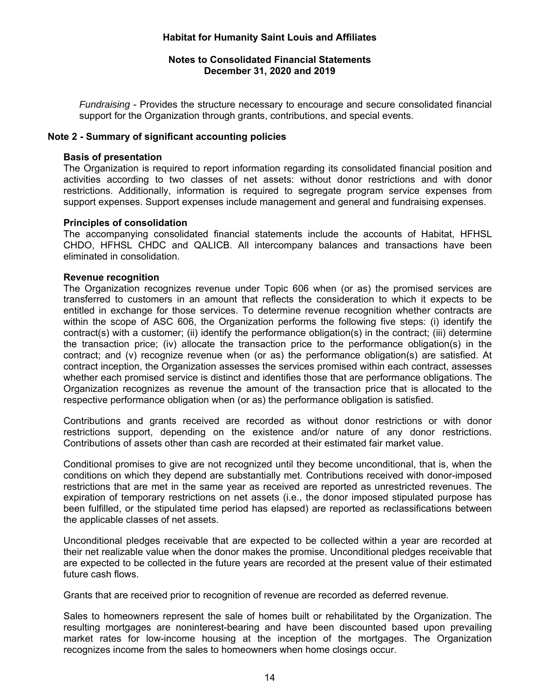### **Notes to Consolidated Financial Statements December 31, 2020 and 2019**

*Fundraising* - Provides the structure necessary to encourage and secure consolidated financial support for the Organization through grants, contributions, and special events.

#### **Note 2 - Summary of significant accounting policies**

#### **Basis of presentation**

The Organization is required to report information regarding its consolidated financial position and activities according to two classes of net assets: without donor restrictions and with donor restrictions. Additionally, information is required to segregate program service expenses from support expenses. Support expenses include management and general and fundraising expenses.

#### **Principles of consolidation**

The accompanying consolidated financial statements include the accounts of Habitat, HFHSL CHDO, HFHSL CHDC and QALICB. All intercompany balances and transactions have been eliminated in consolidation.

#### **Revenue recognition**

The Organization recognizes revenue under Topic 606 when (or as) the promised services are transferred to customers in an amount that reflects the consideration to which it expects to be entitled in exchange for those services. To determine revenue recognition whether contracts are within the scope of ASC 606, the Organization performs the following five steps: (i) identify the contract(s) with a customer; (ii) identify the performance obligation(s) in the contract; (iii) determine the transaction price; (iv) allocate the transaction price to the performance obligation(s) in the contract; and (v) recognize revenue when (or as) the performance obligation(s) are satisfied. At contract inception, the Organization assesses the services promised within each contract, assesses whether each promised service is distinct and identifies those that are performance obligations. The Organization recognizes as revenue the amount of the transaction price that is allocated to the respective performance obligation when (or as) the performance obligation is satisfied.

Contributions and grants received are recorded as without donor restrictions or with donor restrictions support, depending on the existence and/or nature of any donor restrictions. Contributions of assets other than cash are recorded at their estimated fair market value.

Conditional promises to give are not recognized until they become unconditional, that is, when the conditions on which they depend are substantially met. Contributions received with donor-imposed restrictions that are met in the same year as received are reported as unrestricted revenues. The expiration of temporary restrictions on net assets (i.e., the donor imposed stipulated purpose has been fulfilled, or the stipulated time period has elapsed) are reported as reclassifications between the applicable classes of net assets.

Unconditional pledges receivable that are expected to be collected within a year are recorded at their net realizable value when the donor makes the promise. Unconditional pledges receivable that are expected to be collected in the future years are recorded at the present value of their estimated future cash flows.

Grants that are received prior to recognition of revenue are recorded as deferred revenue.

Sales to homeowners represent the sale of homes built or rehabilitated by the Organization. The resulting mortgages are noninterest-bearing and have been discounted based upon prevailing market rates for low-income housing at the inception of the mortgages. The Organization recognizes income from the sales to homeowners when home closings occur.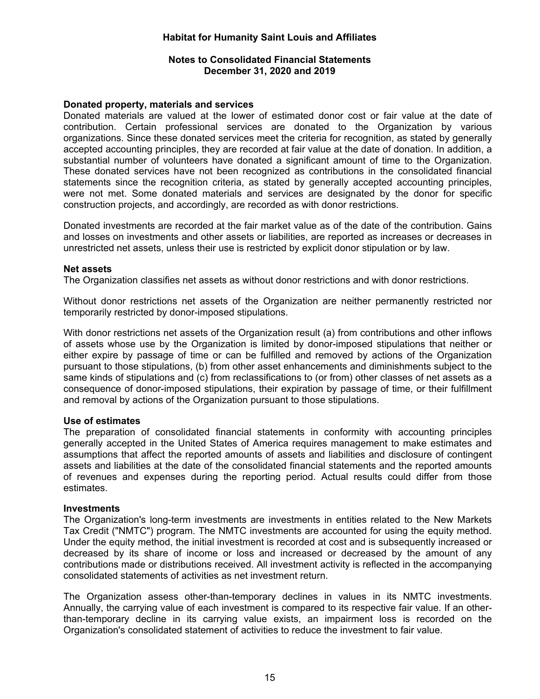### **Notes to Consolidated Financial Statements December 31, 2020 and 2019**

#### **Donated property, materials and services**

Donated materials are valued at the lower of estimated donor cost or fair value at the date of contribution. Certain professional services are donated to the Organization by various organizations. Since these donated services meet the criteria for recognition, as stated by generally accepted accounting principles, they are recorded at fair value at the date of donation. In addition, a substantial number of volunteers have donated a significant amount of time to the Organization. These donated services have not been recognized as contributions in the consolidated financial statements since the recognition criteria, as stated by generally accepted accounting principles, were not met. Some donated materials and services are designated by the donor for specific construction projects, and accordingly, are recorded as with donor restrictions.

Donated investments are recorded at the fair market value as of the date of the contribution. Gains and losses on investments and other assets or liabilities, are reported as increases or decreases in unrestricted net assets, unless their use is restricted by explicit donor stipulation or by law.

#### **Net assets**

The Organization classifies net assets as without donor restrictions and with donor restrictions.

Without donor restrictions net assets of the Organization are neither permanently restricted nor temporarily restricted by donor-imposed stipulations.

With donor restrictions net assets of the Organization result (a) from contributions and other inflows of assets whose use by the Organization is limited by donor-imposed stipulations that neither or either expire by passage of time or can be fulfilled and removed by actions of the Organization pursuant to those stipulations, (b) from other asset enhancements and diminishments subject to the same kinds of stipulations and (c) from reclassifications to (or from) other classes of net assets as a consequence of donor-imposed stipulations, their expiration by passage of time, or their fulfillment and removal by actions of the Organization pursuant to those stipulations.

#### **Use of estimates**

The preparation of consolidated financial statements in conformity with accounting principles generally accepted in the United States of America requires management to make estimates and assumptions that affect the reported amounts of assets and liabilities and disclosure of contingent assets and liabilities at the date of the consolidated financial statements and the reported amounts of revenues and expenses during the reporting period. Actual results could differ from those estimates.

#### **Investments**

The Organization's long-term investments are investments in entities related to the New Markets Tax Credit ("NMTC") program. The NMTC investments are accounted for using the equity method. Under the equity method, the initial investment is recorded at cost and is subsequently increased or decreased by its share of income or loss and increased or decreased by the amount of any contributions made or distributions received. All investment activity is reflected in the accompanying consolidated statements of activities as net investment return.

The Organization assess other-than-temporary declines in values in its NMTC investments. Annually, the carrying value of each investment is compared to its respective fair value. If an otherthan-temporary decline in its carrying value exists, an impairment loss is recorded on the Organization's consolidated statement of activities to reduce the investment to fair value.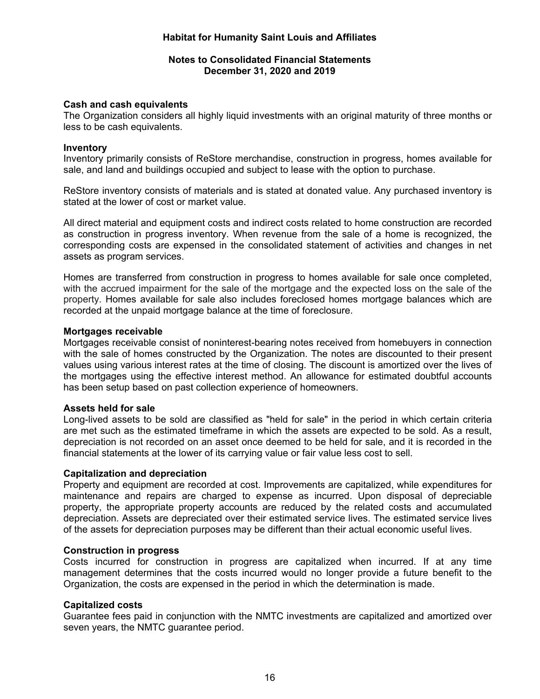### **Notes to Consolidated Financial Statements December 31, 2020 and 2019**

#### **Cash and cash equivalents**

The Organization considers all highly liquid investments with an original maturity of three months or less to be cash equivalents.

#### **Inventory**

Inventory primarily consists of ReStore merchandise, construction in progress, homes available for sale, and land and buildings occupied and subject to lease with the option to purchase.

ReStore inventory consists of materials and is stated at donated value. Any purchased inventory is stated at the lower of cost or market value.

All direct material and equipment costs and indirect costs related to home construction are recorded as construction in progress inventory. When revenue from the sale of a home is recognized, the corresponding costs are expensed in the consolidated statement of activities and changes in net assets as program services.

Homes are transferred from construction in progress to homes available for sale once completed, with the accrued impairment for the sale of the mortgage and the expected loss on the sale of the property. Homes available for sale also includes foreclosed homes mortgage balances which are recorded at the unpaid mortgage balance at the time of foreclosure.

#### **Mortgages receivable**

Mortgages receivable consist of noninterest-bearing notes received from homebuyers in connection with the sale of homes constructed by the Organization. The notes are discounted to their present values using various interest rates at the time of closing. The discount is amortized over the lives of the mortgages using the effective interest method. An allowance for estimated doubtful accounts has been setup based on past collection experience of homeowners.

#### **Assets held for sale**

Long-lived assets to be sold are classified as "held for sale" in the period in which certain criteria are met such as the estimated timeframe in which the assets are expected to be sold. As a result, depreciation is not recorded on an asset once deemed to be held for sale, and it is recorded in the financial statements at the lower of its carrying value or fair value less cost to sell.

#### **Capitalization and depreciation**

Property and equipment are recorded at cost. Improvements are capitalized, while expenditures for maintenance and repairs are charged to expense as incurred. Upon disposal of depreciable property, the appropriate property accounts are reduced by the related costs and accumulated depreciation. Assets are depreciated over their estimated service lives. The estimated service lives of the assets for depreciation purposes may be different than their actual economic useful lives.

#### **Construction in progress**

Costs incurred for construction in progress are capitalized when incurred. If at any time management determines that the costs incurred would no longer provide a future benefit to the Organization, the costs are expensed in the period in which the determination is made.

#### **Capitalized costs**

Guarantee fees paid in conjunction with the NMTC investments are capitalized and amortized over seven years, the NMTC guarantee period.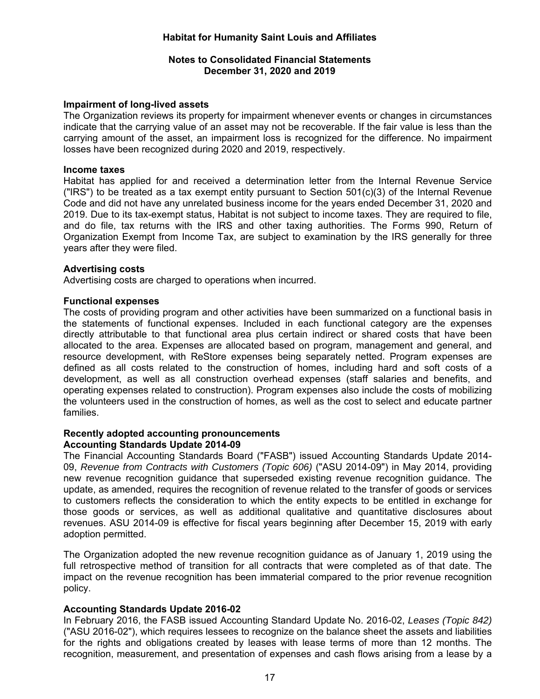#### **Notes to Consolidated Financial Statements December 31, 2020 and 2019**

#### **Impairment of long-lived assets**

The Organization reviews its property for impairment whenever events or changes in circumstances indicate that the carrying value of an asset may not be recoverable. If the fair value is less than the carrying amount of the asset, an impairment loss is recognized for the difference. No impairment losses have been recognized during 2020 and 2019, respectively.

#### **Income taxes**

Habitat has applied for and received a determination letter from the Internal Revenue Service ("IRS") to be treated as a tax exempt entity pursuant to Section  $501(c)(3)$  of the Internal Revenue Code and did not have any unrelated business income for the years ended December 31, 2020 and 2019. Due to its tax-exempt status, Habitat is not subject to income taxes. They are required to file, and do file, tax returns with the IRS and other taxing authorities. The Forms 990, Return of Organization Exempt from Income Tax, are subject to examination by the IRS generally for three years after they were filed.

#### **Advertising costs**

Advertising costs are charged to operations when incurred.

#### **Functional expenses**

The costs of providing program and other activities have been summarized on a functional basis in the statements of functional expenses. Included in each functional category are the expenses directly attributable to that functional area plus certain indirect or shared costs that have been allocated to the area. Expenses are allocated based on program, management and general, and resource development, with ReStore expenses being separately netted. Program expenses are defined as all costs related to the construction of homes, including hard and soft costs of a development, as well as all construction overhead expenses (staff salaries and benefits, and operating expenses related to construction). Program expenses also include the costs of mobilizing the volunteers used in the construction of homes, as well as the cost to select and educate partner families.

## **Recently adopted accounting pronouncements Accounting Standards Update 2014-09**

The Financial Accounting Standards Board ("FASB") issued Accounting Standards Update 2014- 09, *Revenue from Contracts with Customers (Topic 606)* ("ASU 2014-09") in May 2014, providing new revenue recognition guidance that superseded existing revenue recognition guidance. The update, as amended, requires the recognition of revenue related to the transfer of goods or services to customers reflects the consideration to which the entity expects to be entitled in exchange for those goods or services, as well as additional qualitative and quantitative disclosures about revenues. ASU 2014-09 is effective for fiscal years beginning after December 15, 2019 with early adoption permitted.

The Organization adopted the new revenue recognition guidance as of January 1, 2019 using the full retrospective method of transition for all contracts that were completed as of that date. The impact on the revenue recognition has been immaterial compared to the prior revenue recognition policy.

#### **Accounting Standards Update 2016-02**

In February 2016, the FASB issued Accounting Standard Update No. 2016-02, *Leases (Topic 842)* ("ASU 2016-02"), which requires lessees to recognize on the balance sheet the assets and liabilities for the rights and obligations created by leases with lease terms of more than 12 months. The recognition, measurement, and presentation of expenses and cash flows arising from a lease by a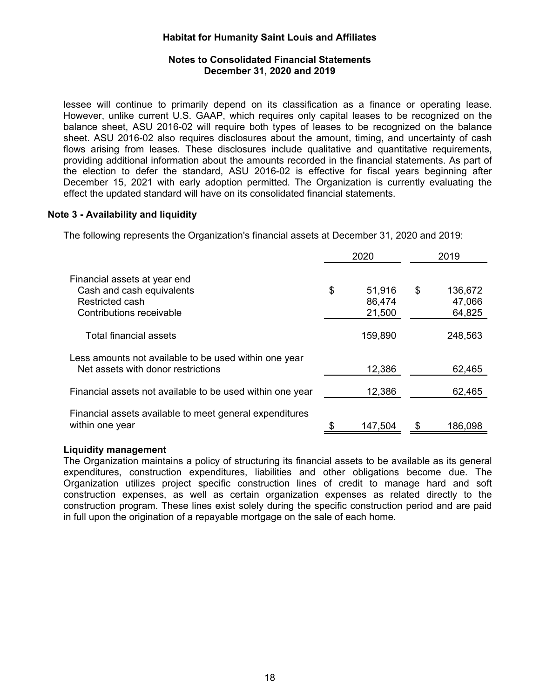## **Notes to Consolidated Financial Statements December 31, 2020 and 2019**

lessee will continue to primarily depend on its classification as a finance or operating lease. However, unlike current U.S. GAAP, which requires only capital leases to be recognized on the balance sheet, ASU 2016-02 will require both types of leases to be recognized on the balance sheet. ASU 2016-02 also requires disclosures about the amount, timing, and uncertainty of cash flows arising from leases. These disclosures include qualitative and quantitative requirements, providing additional information about the amounts recorded in the financial statements. As part of the election to defer the standard, ASU 2016-02 is effective for fiscal years beginning after December 15, 2021 with early adoption permitted. The Organization is currently evaluating the effect the updated standard will have on its consolidated financial statements.

## **Note 3 - Availability and liquidity**

The following represents the Organization's financial assets at December 31, 2020 and 2019:

|                                                                                                          | 2020                             | 2019                              |
|----------------------------------------------------------------------------------------------------------|----------------------------------|-----------------------------------|
| Financial assets at year end<br>Cash and cash equivalents<br>Restricted cash<br>Contributions receivable | \$<br>51,916<br>86,474<br>21,500 | \$<br>136,672<br>47,066<br>64,825 |
| Total financial assets                                                                                   | 159,890                          | 248,563                           |
| Less amounts not available to be used within one year<br>Net assets with donor restrictions              | 12,386                           | 62,465                            |
| Financial assets not available to be used within one year                                                | 12,386                           | 62,465                            |
| Financial assets available to meet general expenditures<br>within one year                               | 147,504                          | 186,098                           |

#### **Liquidity management**

The Organization maintains a policy of structuring its financial assets to be available as its general expenditures, construction expenditures, liabilities and other obligations become due. The Organization utilizes project specific construction lines of credit to manage hard and soft construction expenses, as well as certain organization expenses as related directly to the construction program. These lines exist solely during the specific construction period and are paid in full upon the origination of a repayable mortgage on the sale of each home.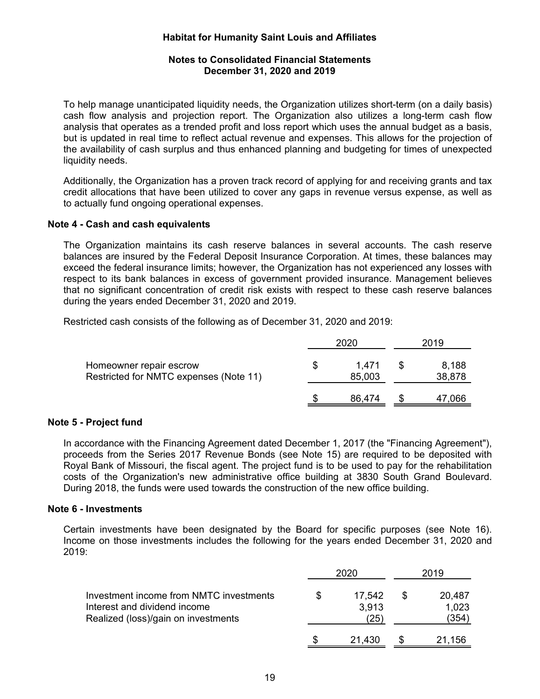### **Notes to Consolidated Financial Statements December 31, 2020 and 2019**

To help manage unanticipated liquidity needs, the Organization utilizes short-term (on a daily basis) cash flow analysis and projection report. The Organization also utilizes a long-term cash flow analysis that operates as a trended profit and loss report which uses the annual budget as a basis, but is updated in real time to reflect actual revenue and expenses. This allows for the projection of the availability of cash surplus and thus enhanced planning and budgeting for times of unexpected liquidity needs.

Additionally, the Organization has a proven track record of applying for and receiving grants and tax credit allocations that have been utilized to cover any gaps in revenue versus expense, as well as to actually fund ongoing operational expenses.

#### **Note 4 - Cash and cash equivalents**

The Organization maintains its cash reserve balances in several accounts. The cash reserve balances are insured by the Federal Deposit Insurance Corporation. At times, these balances may exceed the federal insurance limits; however, the Organization has not experienced any losses with respect to its bank balances in excess of government provided insurance. Management believes that no significant concentration of credit risk exists with respect to these cash reserve balances during the years ended December 31, 2020 and 2019.

Restricted cash consists of the following as of December 31, 2020 and 2019:

|                                                                   |   | 2020            | 2019 |                 |  |
|-------------------------------------------------------------------|---|-----------------|------|-----------------|--|
| Homeowner repair escrow<br>Restricted for NMTC expenses (Note 11) | S | 1.471<br>85,003 |      | 8,188<br>38,878 |  |
|                                                                   |   | 86,474          |      | 47,066          |  |

#### **Note 5 - Project fund**

In accordance with the Financing Agreement dated December 1, 2017 (the "Financing Agreement"), proceeds from the Series 2017 Revenue Bonds (see Note 15) are required to be deposited with Royal Bank of Missouri, the fiscal agent. The project fund is to be used to pay for the rehabilitation costs of the Organization's new administrative office building at 3830 South Grand Boulevard. During 2018, the funds were used towards the construction of the new office building.

#### **Note 6 - Investments**

Certain investments have been designated by the Board for specific purposes (see Note 16). Income on those investments includes the following for the years ended December 31, 2020 and 2019:

|                                                                                                                | 2020                    | 2019                    |
|----------------------------------------------------------------------------------------------------------------|-------------------------|-------------------------|
| Investment income from NMTC investments<br>Interest and dividend income<br>Realized (loss)/gain on investments | 17.542<br>3.913<br>'25, | 20,487<br>1,023<br>(354 |
|                                                                                                                | 21,430                  | 21.156                  |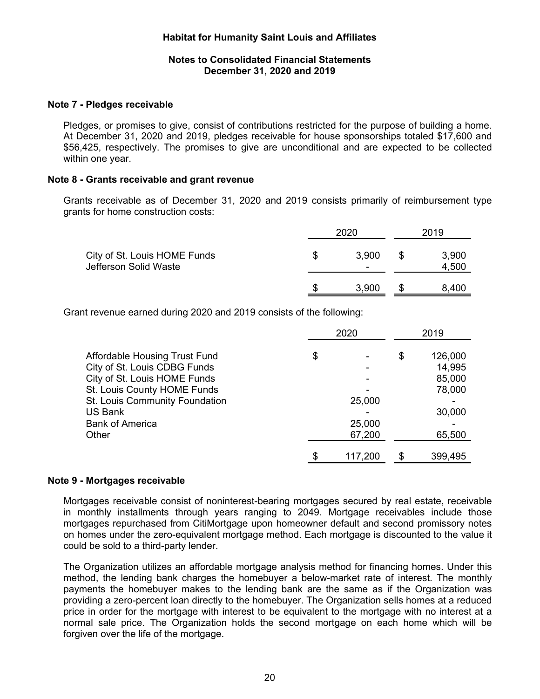### **Notes to Consolidated Financial Statements December 31, 2020 and 2019**

#### **Note 7 - Pledges receivable**

Pledges, or promises to give, consist of contributions restricted for the purpose of building a home. At December 31, 2020 and 2019, pledges receivable for house sponsorships totaled \$17,600 and \$56,425, respectively. The promises to give are unconditional and are expected to be collected within one year.

### **Note 8 - Grants receivable and grant revenue**

Grants receivable as of December 31, 2020 and 2019 consists primarily of reimbursement type grants for home construction costs:

|                                                       |   | 2020       |     | 2019           |  |
|-------------------------------------------------------|---|------------|-----|----------------|--|
| City of St. Louis HOME Funds<br>Jefferson Solid Waste | S | 3.900<br>- | \$. | 3,900<br>4,500 |  |
|                                                       | S | 3,900      |     | 8.400          |  |

Grant revenue earned during 2020 and 2019 consists of the following:

|                                      | 2020 |         | 2019 |         |
|--------------------------------------|------|---------|------|---------|
| <b>Affordable Housing Trust Fund</b> | \$   |         | \$   | 126,000 |
| City of St. Louis CDBG Funds         |      |         |      | 14,995  |
| City of St. Louis HOME Funds         |      |         |      | 85,000  |
| St. Louis County HOME Funds          |      |         |      | 78,000  |
| St. Louis Community Foundation       |      | 25,000  |      |         |
| <b>US Bank</b>                       |      |         |      | 30,000  |
| <b>Bank of America</b>               |      | 25,000  |      |         |
| Other                                |      | 67,200  |      | 65,500  |
|                                      | S    | 117,200 |      | 399,495 |

#### **Note 9 - Mortgages receivable**

Mortgages receivable consist of noninterest-bearing mortgages secured by real estate, receivable in monthly installments through years ranging to 2049. Mortgage receivables include those mortgages repurchased from CitiMortgage upon homeowner default and second promissory notes on homes under the zero-equivalent mortgage method. Each mortgage is discounted to the value it could be sold to a third-party lender.

The Organization utilizes an affordable mortgage analysis method for financing homes. Under this method, the lending bank charges the homebuyer a below-market rate of interest. The monthly payments the homebuyer makes to the lending bank are the same as if the Organization was providing a zero-percent loan directly to the homebuyer. The Organization sells homes at a reduced price in order for the mortgage with interest to be equivalent to the mortgage with no interest at a normal sale price. The Organization holds the second mortgage on each home which will be forgiven over the life of the mortgage.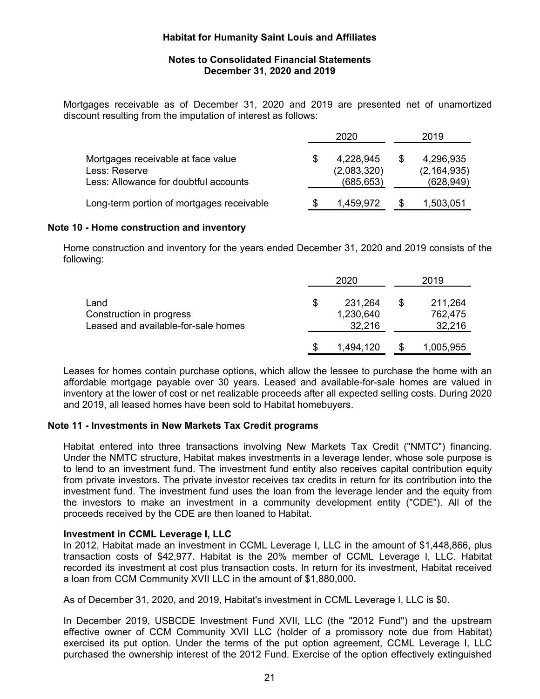#### **Notes to Consolidated Financial Statements December 31, 2020 and 2019**

Mortgages receivable as of December 31, 2020 and 2019 are presented net of unamortized discount resulting from the imputation of interest as follows:

|                                                     |     | 2020                     | 2019                       |
|-----------------------------------------------------|-----|--------------------------|----------------------------|
| Mortgages receivable at face value<br>Less: Reserve | S   | 4,228,945<br>(2,083,320) | 4,296,935<br>(2, 164, 935) |
| Less: Allowance for doubtful accounts               |     | (685, 653)               | (628,949)                  |
| Long-term portion of mortgages receivable           | \$. | 1,459,972                | 1,503,051                  |

#### **Note 10 - Home construction and inventory**

Home construction and inventory for the years ended December 31, 2020 and 2019 consists of the following:

|                                                                         | 2020                                 | 2019 |                              |  |
|-------------------------------------------------------------------------|--------------------------------------|------|------------------------------|--|
| Land<br>Construction in progress<br>Leased and available-for-sale homes | \$<br>231,264<br>1,230,640<br>32,216 |      | 211,264<br>762,475<br>32,216 |  |
|                                                                         | 1,494,120                            |      | 1,005,955                    |  |

Leases for homes contain purchase options, which allow the lessee to purchase the home with an affordable mortgage payable over 30 years. Leased and available-for-sale homes are valued in inventory at the lower of cost or net realizable proceeds after all expected selling costs. During 2020 and 2019, all leased homes have been sold to Habitat homebuyers.

#### **Note 11 - Investments in New Markets Tax Credit programs**

Habitat entered into three transactions involving New Markets Tax Credit ("NMTC") financing. Under the NMTC structure, Habitat makes investments in a leverage lender, whose sole purpose is to lend to an investment fund. The investment fund entity also receives capital contribution equity from private investors. The private investor receives tax credits in return for its contribution into the investment fund. The investment fund uses the loan from the leverage lender and the equity from the investors to make an investment in a community development entity ("CDE"). All of the proceeds received by the CDE are then loaned to Habitat.

#### **Investment in CCML Leverage I, LLC**

In 2012, Habitat made an investment in CCML Leverage I, LLC in the amount of \$1,448,866, plus transaction costs of \$42,977. Habitat is the 20% member of CCML Leverage I, LLC. Habitat recorded its investment at cost plus transaction costs. In return for its investment, Habitat received a loan from CCM Community XVII LLC in the amount of \$1,880,000.

As of December 31, 2020, and 2019, Habitat's investment in CCML Leverage I, LLC is \$0.

In December 2019, USBCDE Investment Fund XVII, LLC (the "2012 Fund") and the upstream effective owner of CCM Community XVII LLC (holder of a promissory note due from Habitat) exercised its put option. Under the terms of the put option agreement, CCML Leverage I, LLC purchased the ownership interest of the 2012 Fund. Exercise of the option effectively extinguished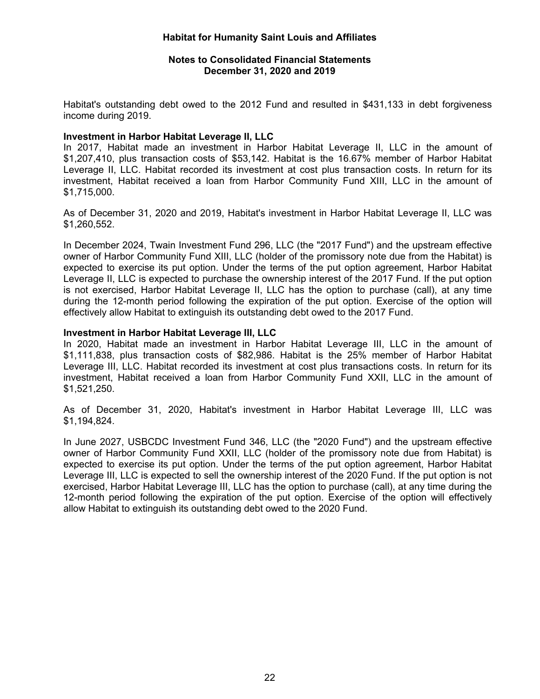### **Notes to Consolidated Financial Statements December 31, 2020 and 2019**

Habitat's outstanding debt owed to the 2012 Fund and resulted in \$431,133 in debt forgiveness income during 2019.

#### **Investment in Harbor Habitat Leverage II, LLC**

In 2017, Habitat made an investment in Harbor Habitat Leverage II, LLC in the amount of \$1,207,410, plus transaction costs of \$53,142. Habitat is the 16.67% member of Harbor Habitat Leverage II, LLC. Habitat recorded its investment at cost plus transaction costs. In return for its investment, Habitat received a loan from Harbor Community Fund XIII, LLC in the amount of \$1,715,000.

As of December 31, 2020 and 2019, Habitat's investment in Harbor Habitat Leverage II, LLC was \$1,260,552.

In December 2024, Twain Investment Fund 296, LLC (the "2017 Fund") and the upstream effective owner of Harbor Community Fund XIII, LLC (holder of the promissory note due from the Habitat) is expected to exercise its put option. Under the terms of the put option agreement, Harbor Habitat Leverage II, LLC is expected to purchase the ownership interest of the 2017 Fund. If the put option is not exercised, Harbor Habitat Leverage II, LLC has the option to purchase (call), at any time during the 12-month period following the expiration of the put option. Exercise of the option will effectively allow Habitat to extinguish its outstanding debt owed to the 2017 Fund.

### **Investment in Harbor Habitat Leverage III, LLC**

In 2020, Habitat made an investment in Harbor Habitat Leverage III, LLC in the amount of \$1,111,838, plus transaction costs of \$82,986. Habitat is the 25% member of Harbor Habitat Leverage III, LLC. Habitat recorded its investment at cost plus transactions costs. In return for its investment, Habitat received a loan from Harbor Community Fund XXII, LLC in the amount of \$1,521,250.

As of December 31, 2020, Habitat's investment in Harbor Habitat Leverage III, LLC was \$1,194,824.

In June 2027, USBCDC Investment Fund 346, LLC (the "2020 Fund") and the upstream effective owner of Harbor Community Fund XXII, LLC (holder of the promissory note due from Habitat) is expected to exercise its put option. Under the terms of the put option agreement, Harbor Habitat Leverage III, LLC is expected to sell the ownership interest of the 2020 Fund. If the put option is not exercised, Harbor Habitat Leverage III, LLC has the option to purchase (call), at any time during the 12-month period following the expiration of the put option. Exercise of the option will effectively allow Habitat to extinguish its outstanding debt owed to the 2020 Fund.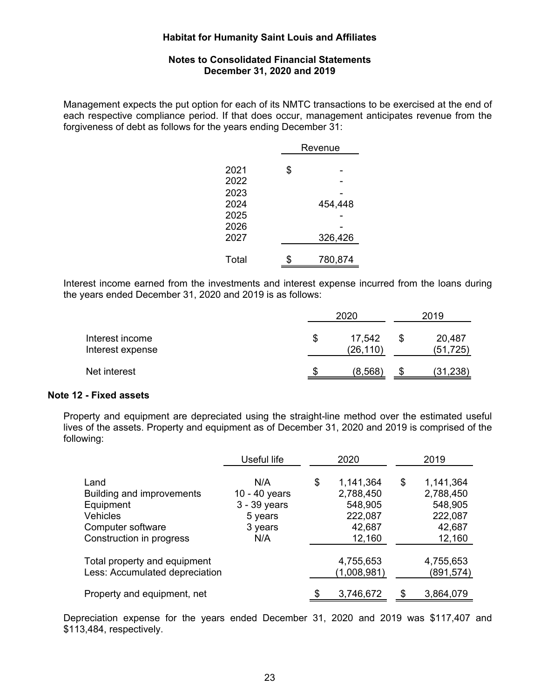### **Notes to Consolidated Financial Statements December 31, 2020 and 2019**

Management expects the put option for each of its NMTC transactions to be exercised at the end of each respective compliance period. If that does occur, management anticipates revenue from the forgiveness of debt as follows for the years ending December 31:

|              | Revenue |  |  |  |
|--------------|---------|--|--|--|
| 2021         | \$      |  |  |  |
| 2022<br>2023 |         |  |  |  |
| 2024         | 454,448 |  |  |  |
| 2025         |         |  |  |  |
| 2026         |         |  |  |  |
| 2027         | 326,426 |  |  |  |
| Total        | 780,874 |  |  |  |

Interest income earned from the investments and interest expense incurred from the loans during the years ended December 31, 2020 and 2019 is as follows:

|                                     | 2020 |                     |  | 2019                |  |  |
|-------------------------------------|------|---------------------|--|---------------------|--|--|
| Interest income<br>Interest expense | S    | 17,542<br>(26, 110) |  | 20,487<br>(51, 725) |  |  |
| Net interest                        |      | (8,568)             |  | (31,238)            |  |  |

#### **Note 12 - Fixed assets**

Property and equipment are depreciated using the straight-line method over the estimated useful lives of the assets. Property and equipment as of December 31, 2020 and 2019 is comprised of the following:

|                                                                                                                    | Useful life                                                       |    | 2020                                                             | 2019 |                                                                  |  |
|--------------------------------------------------------------------------------------------------------------------|-------------------------------------------------------------------|----|------------------------------------------------------------------|------|------------------------------------------------------------------|--|
| Land<br>Building and improvements<br>Equipment<br><b>Vehicles</b><br>Computer software<br>Construction in progress | N/A<br>10 - 40 years<br>3 - 39 years<br>5 years<br>3 years<br>N/A | \$ | 1,141,364<br>2,788,450<br>548,905<br>222,087<br>42,687<br>12,160 | \$   | 1,141,364<br>2,788,450<br>548,905<br>222,087<br>42,687<br>12,160 |  |
| Total property and equipment<br>Less: Accumulated depreciation                                                     |                                                                   |    | 4,755,653<br>(1,008,981)                                         |      | 4,755,653<br>(891, 574)                                          |  |
| Property and equipment, net                                                                                        |                                                                   |    | 3,746,672                                                        |      | 3,864,079                                                        |  |

Depreciation expense for the years ended December 31, 2020 and 2019 was \$117,407 and \$113,484, respectively.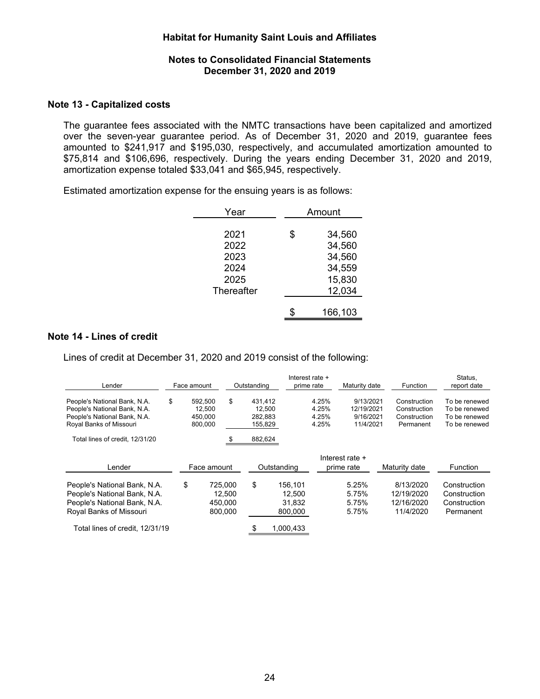#### **Notes to Consolidated Financial Statements December 31, 2020 and 2019**

#### **Note 13 - Capitalized costs**

The guarantee fees associated with the NMTC transactions have been capitalized and amortized over the seven-year guarantee period. As of December 31, 2020 and 2019, guarantee fees amounted to \$241,917 and \$195,030, respectively, and accumulated amortization amounted to \$75,814 and \$106,696, respectively. During the years ending December 31, 2020 and 2019, amortization expense totaled \$33,041 and \$65,945, respectively.

Estimated amortization expense for the ensuing years is as follows:

| Year       | Amount       |  |  |  |
|------------|--------------|--|--|--|
|            |              |  |  |  |
| 2021       | \$<br>34,560 |  |  |  |
| 2022       | 34,560       |  |  |  |
| 2023       | 34,560       |  |  |  |
| 2024       | 34,559       |  |  |  |
| 2025       | 15,830       |  |  |  |
| Thereafter | 12,034       |  |  |  |
|            |              |  |  |  |
|            | 166,103      |  |  |  |
|            |              |  |  |  |

#### **Note 14 - Lines of credit**

Lines of credit at December 31, 2020 and 2019 consist of the following:

| Lender                                                                                                                  | Face amount |                    |                                         | Outstanding        |                                        | Interest rate +<br>prime rate | Maturity date                    | Function                                           | Status,<br>report date                                    |
|-------------------------------------------------------------------------------------------------------------------------|-------------|--------------------|-----------------------------------------|--------------------|----------------------------------------|-------------------------------|----------------------------------|----------------------------------------------------|-----------------------------------------------------------|
| People's National Bank, N.A.<br>People's National Bank, N.A.                                                            | \$          | 592.500<br>12.500  | \$                                      | 431.412<br>12.500  |                                        | 4.25%<br>4.25%                | 9/13/2021<br>12/19/2021          | Construction<br>Construction                       | To be renewed<br>To be renewed                            |
| People's National Bank, N.A.<br>Royal Banks of Missouri                                                                 |             | 450.000<br>800,000 |                                         | 282.883<br>155,829 |                                        | 4.25%<br>4.25%                | 9/16/2021<br>11/4/2021           | Construction<br>Permanent                          | To be renewed<br>To be renewed                            |
| Total lines of credit. 12/31/20                                                                                         |             |                    |                                         | 882,624            |                                        |                               |                                  |                                                    |                                                           |
| Lender                                                                                                                  |             | Face amount        |                                         |                    | Outstanding                            |                               | Interest rate +<br>prime rate    | Maturity date                                      | <b>Function</b>                                           |
| People's National Bank, N.A.<br>People's National Bank, N.A.<br>People's National Bank, N.A.<br>Royal Banks of Missouri | \$          |                    | 725.000<br>12.500<br>450.000<br>800.000 | \$                 | 156,101<br>12.500<br>31.832<br>800.000 |                               | 5.25%<br>5.75%<br>5.75%<br>5.75% | 8/13/2020<br>12/19/2020<br>12/16/2020<br>11/4/2020 | Construction<br>Construction<br>Construction<br>Permanent |
| Total lines of credit. 12/31/19                                                                                         |             |                    |                                         |                    | 1,000,433                              |                               |                                  |                                                    |                                                           |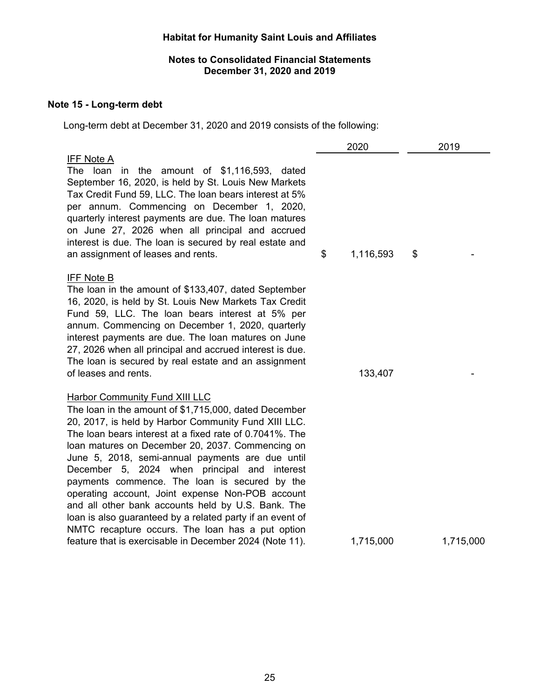## **Notes to Consolidated Financial Statements December 31, 2020 and 2019**

## **Note 15 - Long-term debt**

Long-term debt at December 31, 2020 and 2019 consists of the following:

|                                                                                                                                                                                                                                                                                                                                                                                                                                                                                                                                                                                                                                                                                                                  | 2020            | 2019 |           |  |
|------------------------------------------------------------------------------------------------------------------------------------------------------------------------------------------------------------------------------------------------------------------------------------------------------------------------------------------------------------------------------------------------------------------------------------------------------------------------------------------------------------------------------------------------------------------------------------------------------------------------------------------------------------------------------------------------------------------|-----------------|------|-----------|--|
| <b>IFF Note A</b><br>The loan in the amount of $$1,116,593$ , dated<br>September 16, 2020, is held by St. Louis New Markets<br>Tax Credit Fund 59, LLC. The loan bears interest at 5%<br>per annum. Commencing on December 1, 2020,<br>quarterly interest payments are due. The loan matures<br>on June 27, 2026 when all principal and accrued<br>interest is due. The loan is secured by real estate and<br>an assignment of leases and rents.                                                                                                                                                                                                                                                                 | \$<br>1,116,593 | \$   |           |  |
| <b>IFF Note B</b><br>The loan in the amount of \$133,407, dated September<br>16, 2020, is held by St. Louis New Markets Tax Credit<br>Fund 59, LLC. The loan bears interest at 5% per<br>annum. Commencing on December 1, 2020, quarterly<br>interest payments are due. The loan matures on June<br>27, 2026 when all principal and accrued interest is due.<br>The loan is secured by real estate and an assignment<br>of leases and rents.                                                                                                                                                                                                                                                                     | 133,407         |      |           |  |
| <b>Harbor Community Fund XIII LLC</b><br>The loan in the amount of \$1,715,000, dated December<br>20, 2017, is held by Harbor Community Fund XIII LLC.<br>The loan bears interest at a fixed rate of 0.7041%. The<br>loan matures on December 20, 2037. Commencing on<br>June 5, 2018, semi-annual payments are due until<br>December 5, 2024 when principal and interest<br>payments commence. The loan is secured by the<br>operating account, Joint expense Non-POB account<br>and all other bank accounts held by U.S. Bank. The<br>loan is also guaranteed by a related party if an event of<br>NMTC recapture occurs. The loan has a put option<br>feature that is exercisable in December 2024 (Note 11). | 1,715,000       |      | 1,715,000 |  |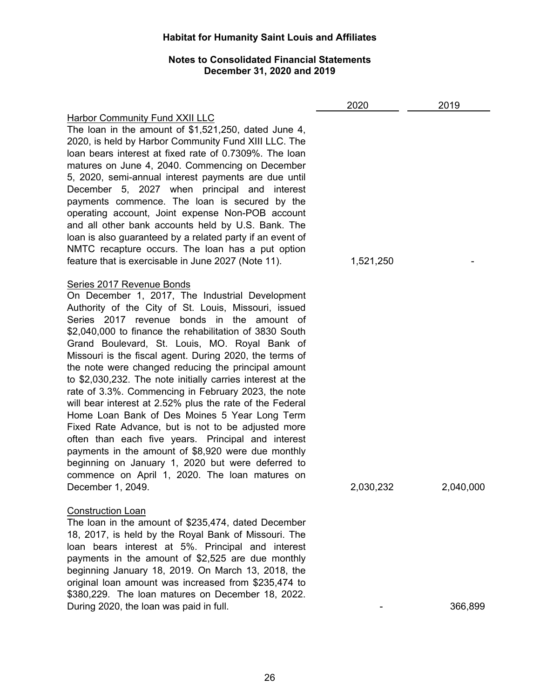## **Notes to Consolidated Financial Statements December 31, 2020 and 2019**

|                                                                                                                                                                                                                                                                                                                                                                                                                                                                                                                                                                                                                                                                                                                                                                                                                                                                                                                                                  | 2020      | 2019      |
|--------------------------------------------------------------------------------------------------------------------------------------------------------------------------------------------------------------------------------------------------------------------------------------------------------------------------------------------------------------------------------------------------------------------------------------------------------------------------------------------------------------------------------------------------------------------------------------------------------------------------------------------------------------------------------------------------------------------------------------------------------------------------------------------------------------------------------------------------------------------------------------------------------------------------------------------------|-----------|-----------|
| <b>Harbor Community Fund XXII LLC</b><br>The loan in the amount of $$1,521,250$ , dated June 4,<br>2020, is held by Harbor Community Fund XIII LLC. The<br>loan bears interest at fixed rate of 0.7309%. The loan<br>matures on June 4, 2040. Commencing on December<br>5, 2020, semi-annual interest payments are due until<br>December 5, 2027 when principal and<br>interest<br>payments commence. The loan is secured by the<br>operating account, Joint expense Non-POB account<br>and all other bank accounts held by U.S. Bank. The<br>loan is also guaranteed by a related party if an event of<br>NMTC recapture occurs. The loan has a put option<br>feature that is exercisable in June 2027 (Note 11).                                                                                                                                                                                                                               | 1,521,250 |           |
| Series 2017 Revenue Bonds<br>On December 1, 2017, The Industrial Development<br>Authority of the City of St. Louis, Missouri, issued<br>Series 2017 revenue bonds in the amount of<br>\$2,040,000 to finance the rehabilitation of 3830 South<br>Grand Boulevard, St. Louis, MO. Royal Bank of<br>Missouri is the fiscal agent. During 2020, the terms of<br>the note were changed reducing the principal amount<br>to \$2,030,232. The note initially carries interest at the<br>rate of 3.3%. Commencing in February 2023, the note<br>will bear interest at 2.52% plus the rate of the Federal<br>Home Loan Bank of Des Moines 5 Year Long Term<br>Fixed Rate Advance, but is not to be adjusted more<br>often than each five years. Principal and interest<br>payments in the amount of \$8,920 were due monthly<br>beginning on January 1, 2020 but were deferred to<br>commence on April 1, 2020. The loan matures on<br>December 1, 2049. | 2,030,232 | 2,040,000 |
| <b>Construction Loan</b><br>The loan in the amount of \$235,474, dated December<br>18, 2017, is held by the Royal Bank of Missouri. The<br>loan bears interest at 5%. Principal and interest<br>payments in the amount of \$2,525 are due monthly<br>beginning January 18, 2019. On March 13, 2018, the<br>original loan amount was increased from \$235,474 to<br>\$380,229. The loan matures on December 18, 2022.<br>During 2020, the loan was paid in full.                                                                                                                                                                                                                                                                                                                                                                                                                                                                                  |           | 366,899   |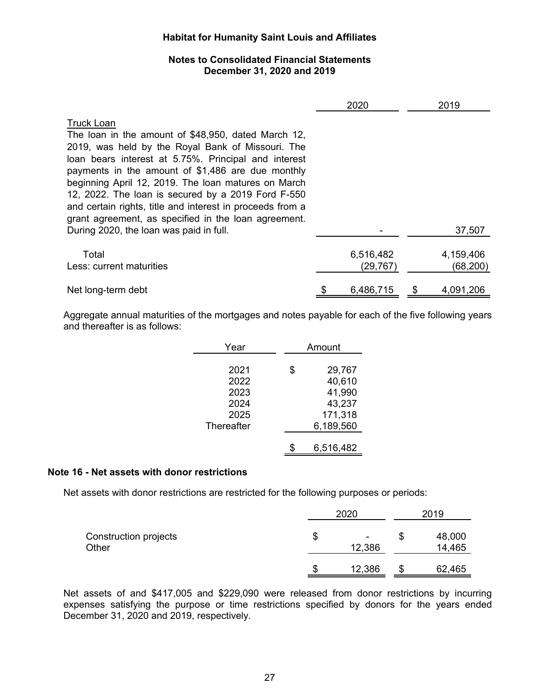## **Notes to Consolidated Financial Statements December 31, 2020 and 2019**

|                                                                                                                                                                                                                                                                                                                                                                                                                                                                              | 2020                   | 2019                   |
|------------------------------------------------------------------------------------------------------------------------------------------------------------------------------------------------------------------------------------------------------------------------------------------------------------------------------------------------------------------------------------------------------------------------------------------------------------------------------|------------------------|------------------------|
| <b>Truck Loan</b><br>The loan in the amount of \$48,950, dated March 12,<br>2019, was held by the Royal Bank of Missouri. The<br>loan bears interest at 5.75%. Principal and interest<br>payments in the amount of \$1,486 are due monthly<br>beginning April 12, 2019. The loan matures on March<br>12, 2022. The loan is secured by a 2019 Ford F-550<br>and certain rights, title and interest in proceeds from a<br>grant agreement, as specified in the loan agreement. |                        |                        |
| During 2020, the loan was paid in full.                                                                                                                                                                                                                                                                                                                                                                                                                                      |                        | 37,507                 |
| Total<br>Less: current maturities                                                                                                                                                                                                                                                                                                                                                                                                                                            | 6,516,482<br>(29, 767) | 4,159,406<br>(68, 200) |
| Net long-term debt                                                                                                                                                                                                                                                                                                                                                                                                                                                           | 6,486,715              | 4,091,206              |

Aggregate annual maturities of the mortgages and notes payable for each of the five following years and thereafter is as follows:

| Year       | Amount       |  |  |
|------------|--------------|--|--|
|            |              |  |  |
| 2021       | \$<br>29,767 |  |  |
| 2022       | 40,610       |  |  |
| 2023       | 41,990       |  |  |
| 2024       | 43,237       |  |  |
| 2025       | 171,318      |  |  |
| Thereafter | 6,189,560    |  |  |
|            |              |  |  |
|            | 6,516,482    |  |  |

## **Note 16 - Net assets with donor restrictions**

Net assets with donor restrictions are restricted for the following purposes or periods:

|                                | 2020              |    | 2019             |  |
|--------------------------------|-------------------|----|------------------|--|
| Construction projects<br>Other | \$<br>۰<br>12,386 | \$ | 48,000<br>14,465 |  |
|                                | 12,386            | S  | 62,465           |  |

Net assets of and \$417,005 and \$229,090 were released from donor restrictions by incurring expenses satisfying the purpose or time restrictions specified by donors for the years ended December 31, 2020 and 2019, respectively.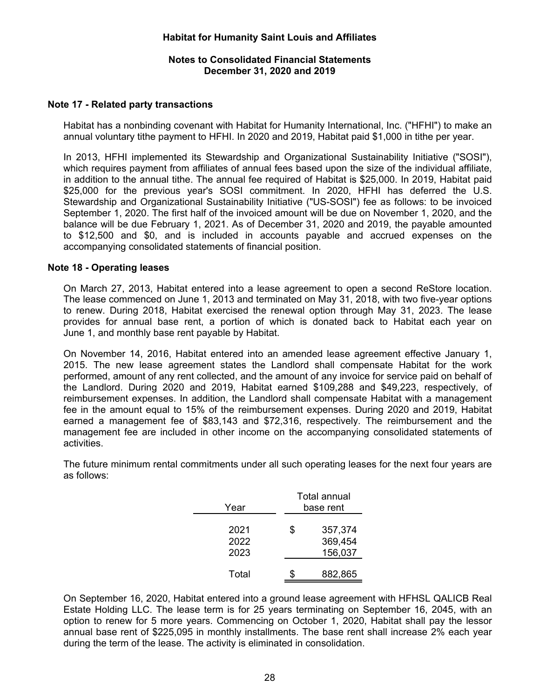### **Notes to Consolidated Financial Statements December 31, 2020 and 2019**

### **Note 17 - Related party transactions**

Habitat has a nonbinding covenant with Habitat for Humanity International, Inc. ("HFHI") to make an annual voluntary tithe payment to HFHI. In 2020 and 2019, Habitat paid \$1,000 in tithe per year.

In 2013, HFHI implemented its Stewardship and Organizational Sustainability Initiative ("SOSI"), which requires payment from affiliates of annual fees based upon the size of the individual affiliate, in addition to the annual tithe. The annual fee required of Habitat is \$25,000. In 2019, Habitat paid \$25,000 for the previous year's SOSI commitment. In 2020, HFHI has deferred the U.S. Stewardship and Organizational Sustainability Initiative ("US-SOSI") fee as follows: to be invoiced September 1, 2020. The first half of the invoiced amount will be due on November 1, 2020, and the balance will be due February 1, 2021. As of December 31, 2020 and 2019, the payable amounted to \$12,500 and \$0, and is included in accounts payable and accrued expenses on the accompanying consolidated statements of financial position.

#### **Note 18 - Operating leases**

On March 27, 2013, Habitat entered into a lease agreement to open a second ReStore location. The lease commenced on June 1, 2013 and terminated on May 31, 2018, with two five-year options to renew. During 2018, Habitat exercised the renewal option through May 31, 2023. The lease provides for annual base rent, a portion of which is donated back to Habitat each year on June 1, and monthly base rent payable by Habitat.

On November 14, 2016, Habitat entered into an amended lease agreement effective January 1, 2015. The new lease agreement states the Landlord shall compensate Habitat for the work performed, amount of any rent collected, and the amount of any invoice for service paid on behalf of the Landlord. During 2020 and 2019, Habitat earned \$109,288 and \$49,223, respectively, of reimbursement expenses. In addition, the Landlord shall compensate Habitat with a management fee in the amount equal to 15% of the reimbursement expenses. During 2020 and 2019, Habitat earned a management fee of \$83,143 and \$72,316, respectively. The reimbursement and the management fee are included in other income on the accompanying consolidated statements of activities.

The future minimum rental commitments under all such operating leases for the next four years are as follows:

| Year                 | Total annual<br>base rent           |  |  |
|----------------------|-------------------------------------|--|--|
| 2021<br>2022<br>2023 | \$<br>357,374<br>369,454<br>156,037 |  |  |
| Total                | 882,865                             |  |  |

On September 16, 2020, Habitat entered into a ground lease agreement with HFHSL QALICB Real Estate Holding LLC. The lease term is for 25 years terminating on September 16, 2045, with an option to renew for 5 more years. Commencing on October 1, 2020, Habitat shall pay the lessor annual base rent of \$225,095 in monthly installments. The base rent shall increase 2% each year during the term of the lease. The activity is eliminated in consolidation.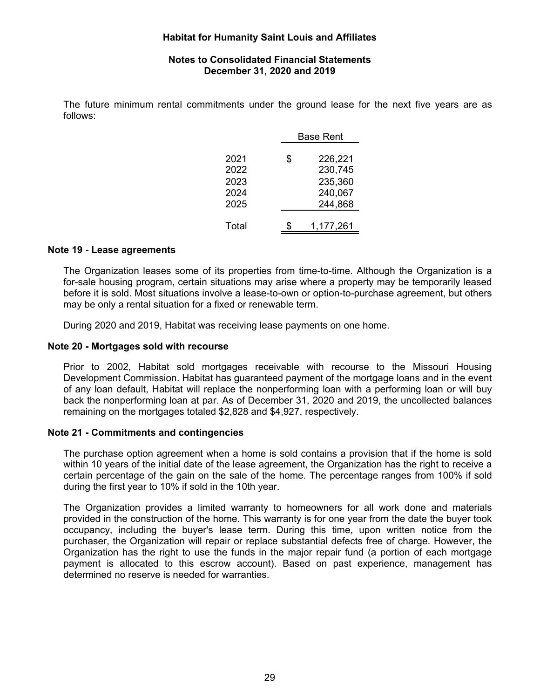### **Notes to Consolidated Financial Statements December 31, 2020 and 2019**

The future minimum rental commitments under the ground lease for the next five years are as follows:

|       | Base Rent |           |  |
|-------|-----------|-----------|--|
| 2021  | \$        | 226,221   |  |
| 2022  |           | 230,745   |  |
| 2023  |           | 235,360   |  |
| 2024  |           | 240,067   |  |
| 2025  |           | 244,868   |  |
| Total |           | 1,177,261 |  |

### **Note 19 - Lease agreements**

The Organization leases some of its properties from time-to-time. Although the Organization is a for-sale housing program, certain situations may arise where a property may be temporarily leased before it is sold. Most situations involve a lease-to-own or option-to-purchase agreement, but others may be only a rental situation for a fixed or renewable term.

During 2020 and 2019, Habitat was receiving lease payments on one home.

## **Note 20 - Mortgages sold with recourse**

Prior to 2002, Habitat sold mortgages receivable with recourse to the Missouri Housing Development Commission. Habitat has guaranteed payment of the mortgage loans and in the event of any loan default, Habitat will replace the nonperforming loan with a performing loan or will buy back the nonperforming loan at par. As of December 31, 2020 and 2019, the uncollected balances remaining on the mortgages totaled \$2,828 and \$4,927, respectively.

## **Note 21 - Commitments and contingencies**

The purchase option agreement when a home is sold contains a provision that if the home is sold within 10 years of the initial date of the lease agreement, the Organization has the right to receive a certain percentage of the gain on the sale of the home. The percentage ranges from 100% if sold during the first year to 10% if sold in the 10th year.

The Organization provides a limited warranty to homeowners for all work done and materials provided in the construction of the home. This warranty is for one year from the date the buyer took occupancy, including the buyer's lease term. During this time, upon written notice from the purchaser, the Organization will repair or replace substantial defects free of charge. However, the Organization has the right to use the funds in the major repair fund (a portion of each mortgage payment is allocated to this escrow account). Based on past experience, management has determined no reserve is needed for warranties.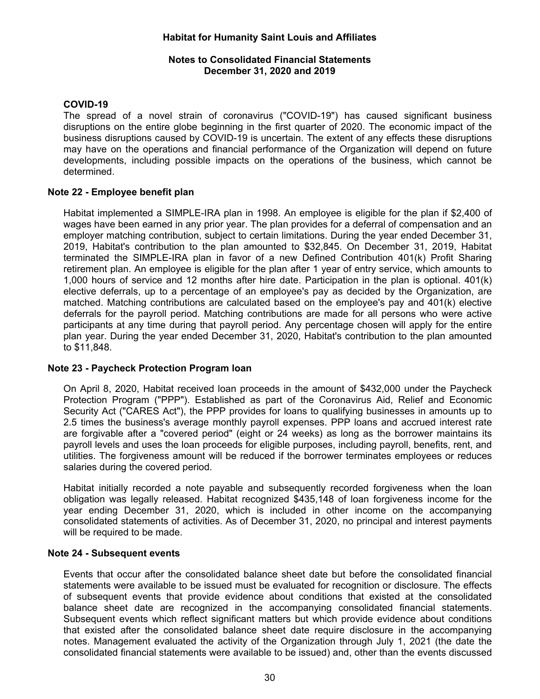### **Notes to Consolidated Financial Statements December 31, 2020 and 2019**

## **COVID-19**

The spread of a novel strain of coronavirus ("COVID-19") has caused significant business disruptions on the entire globe beginning in the first quarter of 2020. The economic impact of the business disruptions caused by COVID-19 is uncertain. The extent of any effects these disruptions may have on the operations and financial performance of the Organization will depend on future developments, including possible impacts on the operations of the business, which cannot be determined.

### **Note 22 - Employee benefit plan**

Habitat implemented a SIMPLE-IRA plan in 1998. An employee is eligible for the plan if \$2,400 of wages have been earned in any prior year. The plan provides for a deferral of compensation and an employer matching contribution, subject to certain limitations. During the year ended December 31, 2019, Habitat's contribution to the plan amounted to \$32,845. On December 31, 2019, Habitat terminated the SIMPLE-IRA plan in favor of a new Defined Contribution 401(k) Profit Sharing retirement plan. An employee is eligible for the plan after 1 year of entry service, which amounts to 1,000 hours of service and 12 months after hire date. Participation in the plan is optional. 401(k) elective deferrals, up to a percentage of an employee's pay as decided by the Organization, are matched. Matching contributions are calculated based on the employee's pay and 401(k) elective deferrals for the payroll period. Matching contributions are made for all persons who were active participants at any time during that payroll period. Any percentage chosen will apply for the entire plan year. During the year ended December 31, 2020, Habitat's contribution to the plan amounted to \$11,848.

#### **Note 23 - Paycheck Protection Program loan**

On April 8, 2020, Habitat received loan proceeds in the amount of \$432,000 under the Paycheck Protection Program ("PPP"). Established as part of the Coronavirus Aid, Relief and Economic Security Act ("CARES Act"), the PPP provides for loans to qualifying businesses in amounts up to 2.5 times the business's average monthly payroll expenses. PPP loans and accrued interest rate are forgivable after a "covered period" (eight or 24 weeks) as long as the borrower maintains its payroll levels and uses the loan proceeds for eligible purposes, including payroll, benefits, rent, and utilities. The forgiveness amount will be reduced if the borrower terminates employees or reduces salaries during the covered period.

Habitat initially recorded a note payable and subsequently recorded forgiveness when the loan obligation was legally released. Habitat recognized \$435,148 of loan forgiveness income for the year ending December 31, 2020, which is included in other income on the accompanying consolidated statements of activities. As of December 31, 2020, no principal and interest payments will be required to be made.

## **Note 24 - Subsequent events**

Events that occur after the consolidated balance sheet date but before the consolidated financial statements were available to be issued must be evaluated for recognition or disclosure. The effects of subsequent events that provide evidence about conditions that existed at the consolidated balance sheet date are recognized in the accompanying consolidated financial statements. Subsequent events which reflect significant matters but which provide evidence about conditions that existed after the consolidated balance sheet date require disclosure in the accompanying notes. Management evaluated the activity of the Organization through July 1, 2021 (the date the consolidated financial statements were available to be issued) and, other than the events discussed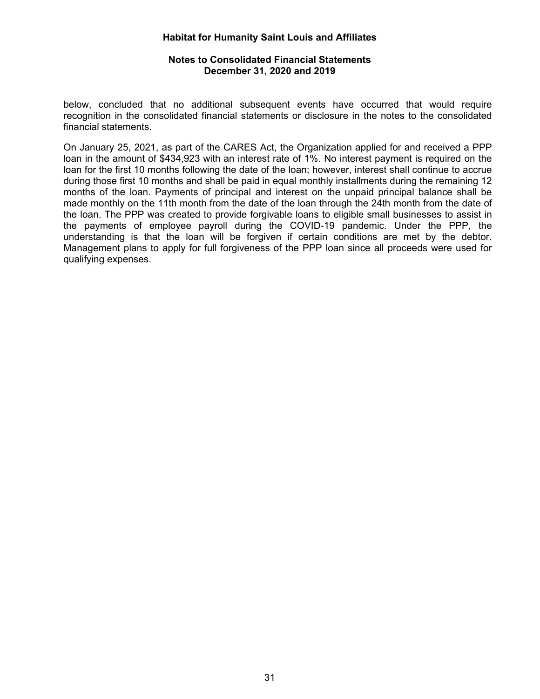### **Notes to Consolidated Financial Statements December 31, 2020 and 2019**

below, concluded that no additional subsequent events have occurred that would require recognition in the consolidated financial statements or disclosure in the notes to the consolidated financial statements.

On January 25, 2021, as part of the CARES Act, the Organization applied for and received a PPP loan in the amount of \$434,923 with an interest rate of 1%. No interest payment is required on the loan for the first 10 months following the date of the loan; however, interest shall continue to accrue during those first 10 months and shall be paid in equal monthly installments during the remaining 12 months of the loan. Payments of principal and interest on the unpaid principal balance shall be made monthly on the 11th month from the date of the loan through the 24th month from the date of the loan. The PPP was created to provide forgivable loans to eligible small businesses to assist in the payments of employee payroll during the COVID-19 pandemic. Under the PPP, the understanding is that the loan will be forgiven if certain conditions are met by the debtor. Management plans to apply for full forgiveness of the PPP loan since all proceeds were used for qualifying expenses.